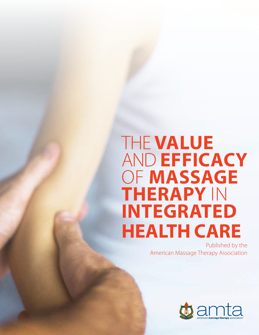# The **Value** and **Efficacy** of **Massage Therapy** in **INTEGRATED Health Care**

Published by the American Massage Therapy Association

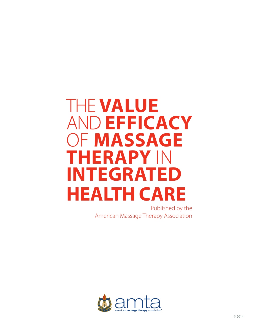# The **Value** and **Efficacy** of **Massage Therapy** in **Integrated Health Care**

Published by the American Massage Therapy Association

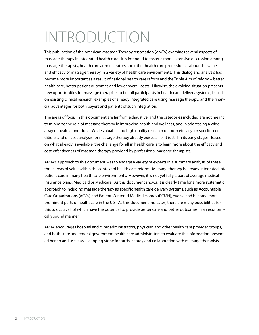## Introduction

This publication of the American Massage Therapy Association (AMTA) examines several aspects of massage therapy in integrated health care. It is intended to foster a more extensive discussion among massage therapists, health care administrators and other health care professionals about the value and efficacy of massage therapy in a variety of health care environments. This dialog and analysis has become more important as a result of national health care reform and the Triple Aim of reform – better health care, better patient outcomes and lower overall costs. Likewise, the evolving situation presents new opportunities for massage therapists to be full participants in health care delivery systems, based on existing clinical research, examples of already integrated care using massage therapy, and the financial advantages for both payers and patients of such integration.

The areas of focus in this document are far from exhaustive, and the categories included are not meant to minimize the role of massage therapy in improving health and wellness, and in addressing a wide array of health conditions. While valuable and high quality research on both efficacy for specific conditions and on cost analysis for massage therapy already exists, all of it is still in its early stages. Based on what already is available, the challenge for all in health care is to learn more about the efficacy and cost-effectiveness of massage therapy provided by professional massage therapists.

AMTA's approach to this document was to engage a variety of experts in a summary analysis of these three areas of value within the context of health care reform. Massage therapy is already integrated into patient care in many health care environments. However, it is not yet fully a part of average medical insurance plans, Medicaid or Medicare. As this document shows, it is clearly time for a more systematic approach to including massage therapy as specific health care delivery systems, such as Accountable Care Organizations (ACOs) and Patient-Centered Medical Homes (PCMH), evolve and become more prominent parts of health care in the U.S. As this document indicates, there are many possibilities for this to occur, all of which have the potential to provide better care and better outcomes in an economically sound manner.

AMTA encourages hospital and clinic administrators, physician and other health care provider groups, and both state and federal government health care administrators to evaluate the information presented herein and use it as a stepping stone for further study and collaboration with massage therapists.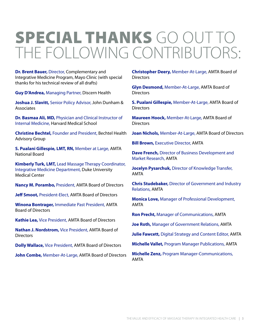## Special thanks go out to the following contributors:

**Dr. Brent Bauer,** Director, Complementary and Integrative Medicine Program, Mayo Clinic (with special thanks for his technical review of all drafts)

**Guy D'Andrea,** Managing Partner, Discern Health

**Joshua J. Slavitt,** Senior Policy Advisor, John Dunham & Associates

**Dr. Basmaa Ali, MD,** Physician and Clinical Instructor of Internal Medicine, Harvard Medical School

**Christine Bechtel,** Founder and President, Bechtel Health Advisory Group

**S. Pualani Gillespie, LMT, RN,** Member at Large, AMTA National Board

**Kimberly Turk, LMT,** Lead Massage Therapy Coordinator, Integrative Medicine Department, Duke University Medical Center

**Nancy M. Porambo,** President, AMTA Board of Directors

**Jeff Smoot,** President-Elect, AMTA Board of Directors

**Winona Bontrager,** Immediate Past President, AMTA Board of Directors

**Kathie Lea,** Vice President, AMTA Board of Directors

**Nathan J. Nordstrom,** Vice President, AMTA Board of **Directors** 

**Dolly Wallace,** Vice President, AMTA Board of Directors

**John Combe,** Member-At-Large, AMTA Board of Directors

**Christopher Deery,** Member-At-Large, AMTA Board of **Directors** 

**Glyn Desmond,** Member-At-Large, AMTA Board of **Directors** 

**S. Pualani Gillespie,** Member-At-Large, AMTA Board of **Directors** 

**Maureen Hoock,** Member-At-Large, AMTA Board of **Directors** 

**Joan Nichols,** Member-At-Large, AMTA Board of Directors

**Bill Brown, Executive Director, AMTA** 

**Dave French,** Director of Business Development and Market Research, AMTA

**Jocelyn Pysarchuk,** Director of Knowledge Transfer, AMTA

**Chris Studebaker,** Director of Government and Industry Relations, AMTA

**Monica Love,** Manager of Professional Development, AMTA

**Ron Precht,** Manager of Communications, AMTA

**Joe Roth,** Manager of Government Relations, AMTA

**Julie Fawcett,** Digital Strategy and Content Editor, AMTA

**Michelle Vallet,** Program Manager Publications, AMTA

**Michelle Zenz,** Program Manager-Communications, AMTA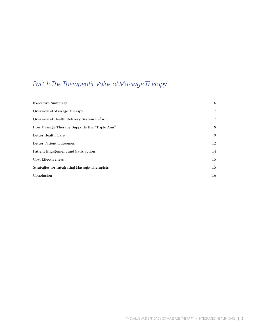## *Part 1: The Therapeutic Value of Massage Therapy*

| <b>Executive Summary</b>                      | 6              |
|-----------------------------------------------|----------------|
| Overview of Massage Therapy                   | $\overline{7}$ |
| Overview of Health Delivery System Reform     | $\overline{7}$ |
| How Massage Therapy Supports the "Triple Aim" | 8              |
| Better Health Care                            | 9              |
| <b>Better Patient Outcomes</b>                | 12             |
| Patient Engagement and Satisfaction           | 14             |
| <b>Cost Effectiveness</b>                     | 15             |
| Strategies for Integrating Massage Therapists | 15             |
| Conclusion                                    | 16             |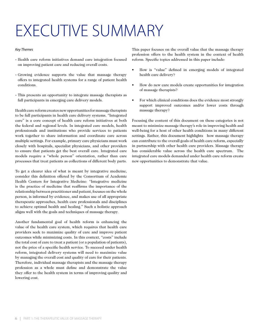# EXECUTIVE SUMMARY

#### *Key Themes*

- Health care reform initiatives demand care integration focused on improving patient care and reducing overall costs.
- Growing evidence supports the value that massage therapy offers to integrated health systems for a range of patient health conditions.
- This presents an opportunity to integrate massage therapists as full participants in emerging care delivery models.

Health care reform creates new opportunities for massage therapists to be full participants in health care delivery systems. "Integrated care" is a core concept of health care reform initiatives at both the federal and regional levels. In integrated care models, health professionals and institutions who provide services to patients work together to share information and coordinate care across multiple settings. For example, primary care physicians must work closely with hospitals, specialist physicians, and other providers to ensure that patients get the best overall care. Integrated care models require a "whole person" orientation, rather than care processes that treat patients as collections of different body parts.

To get a clearer idea of what is meant by integrative medicine, consider this definition offered by the Consortium of Academic Health Centers for Integrative Medicine: "Integrative medicine is the practice of medicine that reaffirms the importance of the relationship between practitioner and patient, focuses on the whole person, is informed by evidence, and makes use of all appropriate therapeutic approaches, health care professionals and disciplines to achieve optimal health and healing." Such a holistic approach aligns well with the goals and techniques of massage therapy.

Another fundamental goal of health reform is enhancing the value of the health care system, which requires that health care providers seek to maximize quality of care and improve patient outcomes while minimizing costs. In this context, "costs" include the total cost of care to treat a patient (or a population of patients), not the price of a specific health service. To succeed under health reform, integrated delivery systems will need to maximize value by managing the overall cost and quality of care for their patients. Therefore, individual massage therapists and the massage therapy profession as a whole must define and demonstrate the value they offer to the health system in terms of improving quality and lowering cost.

This paper focuses on the overall value that the massage therapy profession offers to the health system in the context of health reform. Specific topics addressed in this paper include:

- •  How is "value" defined in emerging models of integrated health care delivery?
- How do new care models create opportunities for integration of massage therapists?
- For which clinical conditions does the evidence most strongly support improved outcomes and/or lower costs through massage therapy?

Focusing the content of this document on these categories is not meant to minimize massage therapy's role in improving health and well-being for a host of other health conditions in many different settings. Rather, this document highlights how massage therapy can contribute to the overall goals of health care reform, especially in partnership with other health care providers. Massage therapy has considerable value across the health care spectrum. The integrated care models demanded under health care reform create new opportunities to demonstrate that value.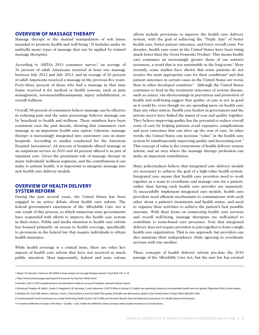#### **OVERVIEW OF MASSAGE THERAPY**

Massage therapy is the manual manipulation of soft tissue intended to promote health and well-being.<sup>1</sup> It includes under its umbrella many types of massage that can be applied by trained massage therapists.

According to AMTA's 2013 consumer survey,<sup>2</sup> an average of 16 percent of adult Americans received at least one massage between July 2012 and July 2013, and an average of 26 percent of adult Americans received a massage in the previous five years. Forty-three percent of those who had a massage in that time frame received it for medical or health reasons, such as pain management, soreness/stiffness/spasms, injury rehabilitation, or overall wellness.

Overall, 88 percent of consumers believe massage can be effective in reducing pain and the same percentage believes massage can be beneficial to health and wellness. These numbers have been consistent over the past decade, showing that consumers view massage as an important health care option. Likewise, massage therapy is increasingly integrated into customary care in many hospitals. According to studies conducted for the American Hospital Association<sup>3</sup>, 64 percent of hospitals offered massage as an outpatient service in 2010 and 44 percent offered it as part of inpatient care. Given the prominent role of massage therapy in many individuals' wellness regimens, and the contributions it can make to patient health, it is important to integrate massage into new health care delivery models.

## **OVERVIEW OF HEALTH DELIVERY SYSTEM REFORM**

During the past several years, the United States has been engaged in an active debate about health care reform. The federal government's enactment of the Affordable Care Act is one result of this process, to which numerous state governments have responded with efforts to improve the health care system in their states. Public and media attention to health care reform has focused primarily on access to health coverage, specifically to provisions in the federal law that require individuals to obtain health insurance.

While health coverage is a critical issue, there are other key aspects of health care reform that have not received as much public attention. Most importantly, federal and state reform efforts include provisions to improve the health care delivery system, with the goal of achieving the "Triple Aim" of better health care, better patient outcomes, and lower overall costs. For decades, health care costs in the United States have been rising much faster than the Gross Domestic Product. This means health care consumes an increasingly greater share of our nation's resources, a trend that is not sustainable in the long-term.<sup>4</sup> More recently, some studies have shown that some patients do not receive the most appropriate care for their conditions<sup>5</sup> and that patient outcomes in certain cases in the United States are worse than in other developed countries.<sup>6</sup> Although the United States continues to lead in the treatment outcomes of serious disease, such as cancer, our shortcomings in prevention and promotion of health and well-being suggest that quality of care is not as good as it could be, even though we are spending more on health care than any other nation. Health care leaders in government and the private sector have linked the issues of cost and quality together. They believe improving quality has the potential to reduce overall costs of care by helping patients avoid expensive complications and poor outcomes that can drive up the cost of care. In other words, the United States can increase "value" in the health care system by simultaneously improving quality and decreasing cost.<sup>7</sup> This concept of value is the cornerstone of health delivery system reform, and an area where the massage therapy profession can make an important contribution.

Many policymakers believe that integrated care delivery models are necessary to achieve the goal of a high-value health system. Integrated care means that health care providers need to work together as a team to coordinate and manage care for a patient, rather than having each health care provider act separately. To successfully implement integrated care models, health care providers need efficient mechanisms to communicate with each other about a patient's treatments and health status, and need to organize their activities to achieve the patient's best possible outcome. With their focus on connecting health care services and overall well-being, massage therapists are well-suited to contribute to team-based care processes. Note that integrated delivery does not require providers to join together to form a single health care organization. That is one approach, but providers can also maintain their independence while agreeing to coordinate services with one another.

These concepts of health delivery reform pre-date the 2010 passage of the Affordable Care Act, but the new law has created

<sup>1</sup> Moyer CA, Rounds J, Hannum JW (2004) A meta-analysis of massage therapy research. Psych Bull 130: 3–18.

<sup>2</sup> http://www.amtamassage.org/research/Consumer-Survey-Fact-Sheets.html

<sup>3</sup> Ananth S (2011) 2010 complementary and alternative medicine survey of hospitals. Samueli Institute report.

<sup>4</sup> Ginsburg P, Hughes M, Adler L, Burke S, Hoagland G W, Jennings C, and Lieberman S (2013) What is driving U.S. health care spending: America's unsustainable health care cost growth. Bipartisan Policy Center report.

<sup>5</sup> McGlynn EA, Asch SM, Adams J, Keesey J, Hicks J, DeCristofaro A, Kerr EA (2003) The quality of health care delivered to adults in the United States," N Engl J Med 348:2635-2645.

<sup>6</sup> Commonwealth Fund Commission on a High Performing Health System (2011) Why not the best? Results from the National Scorecard on U.S. Health System Performance.

<sup>7</sup> A common definition of value is that Value = Quality ÷ Cost. Under this definition, Value increases when Quality increases or Cost decreases.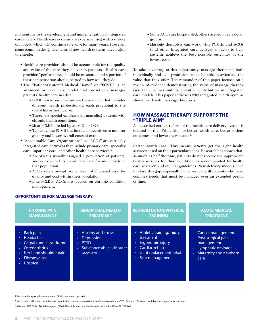momentum for the development and implementation of integrated care models. Health care systems are experimenting with a variety of models, which will continue to evolve for many years. However, some common design elements of new health systems have begun to emerge:

- Health care providers should be accountable for the quality and value of the care they deliver to patients. Health care providers' performance should be measured and a portion of their compensation should be tied to how well they do.
- The "Patient-Centered Medical Home" or "PCMH" is an advanced primary care model that proactively manages patients' health care needs.<sup>8</sup>
	- PCMH envisions a team-based care model that includes different health professionals, each practicing to the top of his or her license.
	- There is a special emphasis on managing patients with chronic health conditions.
	- Most PCMHs are led by an M.D. or D.O.
	- Typically, the PCMH has financial incentives to monitor quality and lower overall costs of care.
- "Accountable Care Organizations" or "ACOs" are vertically integrated care networks that include primary care, specialty care, inpatient care, and other health care services.<sup>9</sup>
	- An ACO is usually assigned a population of patients, and is expected to coordinate care for individuals in that population.
	- ACOs often accept some level of financial risk for quality and cost within their population.
	- Like PCMHs, ACOs are focused on chronic condition management.
- Some ACOs are hospital-led; others are led by physician groups.
- Massage therapists can work with PCMHs and ACOs (and other integrated care delivery models) to help patients achieve the best possible outcomes at the lowest costs.

To take advantage of this opportunity, massage therapists, both individually and as a profession, must be able to articulate the value that they offer. The remainder of this paper focuses on a review of evidence demonstrating the value of massage therapy (see table below) and its potential contribution in integrated care models. This paper addresses why integrated health systems should work with massage therapists.

## **How Massage Therapy Supports the "Triple Aim"**

As described earlier, reform of the health care delivery system is focused on the "Triple Aim" of better health care, better patient outcomes, and lower overall cost.10

**Better Health Care.** This means patients get the right health services based on their particular needs. Research has shown that, as much as half the time, patients do not receive the appropriate health services for their condition as recommended by health care research and clinical guidelines. New delivery models need to close this gap, especially for chronically ill patients who have complex needs that must be managed over an extended period of time.

| <b>CHRONIC PAIN</b>                                                                                                                                                                                                                         | <b>BEHAVIORAL HEALTH</b>                                                                                           | <b>REHABILITATION/PHYSICAL</b>                                                                                                                                                    | <b>ACUTE MEDICAL</b>                                                                                         |
|---------------------------------------------------------------------------------------------------------------------------------------------------------------------------------------------------------------------------------------------|--------------------------------------------------------------------------------------------------------------------|-----------------------------------------------------------------------------------------------------------------------------------------------------------------------------------|--------------------------------------------------------------------------------------------------------------|
| <b>MANAGEMENT</b>                                                                                                                                                                                                                           | <b>TREATMENT</b>                                                                                                   | <b>TRAINING</b>                                                                                                                                                                   | <b>TREATMENT</b>                                                                                             |
| Back pain<br>$\bullet$<br>Headache<br>$\bullet$ .<br>Carpal tunnel syndrome<br>$\bullet$ .<br><b>Osteoarthritis</b><br>$\bullet$ .<br>Neck and shoulder pain<br>$\bullet$ .<br>Fibromyalgia<br>$\bullet$ .<br><b>Hospice</b><br>$\bullet$ . | <b>Anxiety and stress</b><br>٠<br>Depression<br>٠<br><b>PTSD</b><br>٠<br>Substance abuse disorder<br>٠<br>recovery | Athletic training/injury<br>$\bullet$<br>treatment<br>Ergonomic injury<br>٠<br>Cardiac rehab<br>$\bullet$<br>Joint replacement rehab<br>$\bullet$<br>Scar management<br>$\bullet$ | Cancer management<br>Post-surgical pain<br>management<br>Lymphatic drainage<br>Maternity and newborn<br>care |

## 8 For more background information on PCMH, see www.pcpcc.net.

**OPPORTUNITIES FOR MASSAGE THERAPY**

9 For a useful Q&A on accountable care organizations, see http://www.kaiserhealthnews.org/stories/2011/january/13/aco-accountable-care-organization-faq.aspx.

10 Berwick DM, Nolan TW, Whittington J (2008) The triple aim: care, health, and cost. Health Affairs 27: 759-769.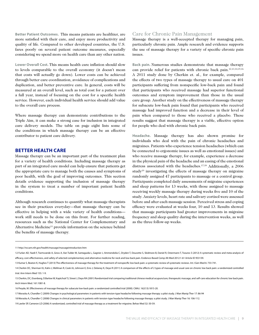**Better Patient Outcomes.** This means patients are healthier, are more satisfied with their care, and enjoy more productivity and quality of life. Compared to other developed countries, the U.S. fares poorly on several patient outcome measures, especially considering we spend more on health care than any other nation.

**Lower Overall Cost.** This means health care inflation should slow to levels comparable to the overall economy (it doesn't mean that costs will actually go down). Lower costs can be achieved through better care coordination, avoidance of complications and duplication, and better preventive care. In general, costs will be measured at an overall level, such as total cost for a patient over a full year, instead of focusing on the cost for a specific health service. However, each individual health service should add value to the overall care process.

Where massage therapy can demonstrate contributions to the Triple Aim, it can make a strong case for inclusion in integrated care delivery models. The table on page eight lists some of the conditions in which massage therapy can be an effective contributor to patient care delivery.

#### **Better Health Care**

Massage therapy can be an important part of the treatment plan for a variety of health conditions. Including massage therapy as part of an integrated care model can help ensure that patients get the appropriate care to manage both the causes and symptoms of poor health, with the goal of improving outcomes. This section details evidence supporting the inclusion of massage therapy in the system to treat a number of important patient health conditions.

Although research continues to quantify what massage therapists see in their practices everyday—that massage therapy can be effective in helping with a wide variety of health conditions work still needs to be done on this front. For further reading, resources such as the National Center for Complementary and Alternative Medicine<sup>11</sup> provide information on the science behind the benefits of massage therapy.

## Care for Chronic Pain Management

Massage therapy is a well-accepted therapy for managing pain, particularly chronic pain. Ample research and evidence supports the use of massage therapy for a variety of specific chronic pain issues.

**Back pain.** Numerous studies demonstrate that massage therapy can provide relief for patients with chronic back pain.12,13,14,15,16 A 2011 study done by Cherkin et. al., for example, compared the effects of two types of massage therapy to usual care on 401 participants suffering from nonspecific low-back pain and found that participants who received massage had superior functional outcomes and symptom improvement than those in the usual care group. Another study on the effectiveness of massage therapy for subacute low-back pain found that participants who received massage had improved function and a decrease in their level of pain when compared to those who received a placebo. These results suggest that massage therapy is a viable, effective option for people who deal with chronic back pain.

**Headache.** Massage therapy has also shown promise for individuals who deal with the pain of chronic headaches and migraines. Patients who experience tension headaches (which can be connected to ergonomic issues as well as emotional issues) and who receive massage therapy, for example, experience a decrease in the physical pain of the headache and an easing of the emotional distress associated with the headaches.17,18 Additionally, a 2006 study19 investigating the effects of massage therapy on migraine randomly assigned 47 participants to massage or a control group. Participants completed daily assessments of migraine experiences and sleep patterns for 13 weeks, with those assigned to massage receiving weekly massage therapy during weeks five and 10 of the study. Anxiety levels, heart rate and salivary cortisol were assessed before and after each massage session. Perceived stress and coping efficacy were evaluated at weeks four, 10 and 13. Results showed that massage participants had greater improvements in migraine frequency and sleep quality during the intervention weeks, as well as the three follow-up weeks.

<sup>11</sup> http://nccam.nih.gov/health/massage/massageintroduction.htm

<sup>12</sup> Furlan AD, Yazdi F, Tsertsvande A, Gross A, Van Tulder M, Santaguida L, Gagnier J, Ammendolia C, Dryden T, Doucette S, Skidmore B, Daniel R, Ostermann T, Tsouros S (2012) A systematic review and meta-analysis of efficacy, cost-effectiveness, and safety of selected complementary and alternative medicine for neck and low-back pain. Evidence-Based Comp Alt Med 2012:1-61 Article ID 953139.

<sup>13</sup> Kumar S, Beaton K, Hughes T (2013) The effectiveness of massage therapy for the treatment of nonspecific low back pain: a systematic review of systematic reviews. Int J Gen Med 6: 733-741.

<sup>14</sup> Cherkin DC, Sherman KJ, Kahn J, Wellman R, Cook AJ, Johnson E, Erro J, Delaney K, Deyo R (2011) A comparison of the effects of 2 types of massage and usual care on chronic low back pain: a randomized controlled trial. Ann Intern Med 155: 1-9.

<sup>15</sup> Cherkin, DC, Eisenberg, D.Barlow W, Kaptchuk TJ, Street J, Deyo RA (2001) Randomized trial comparing traditional chinese medical acupuncture, therapeutic massage, and self-care education for chronic low back pain. Arch Intern Med. 161:1081-8.

<sup>16</sup> Preyde, M. Effectiveness of massage therapy for subacute low-back pain: a randomized controlled trial (2000). CMAJ. 162(13):1815-20.

<sup>17</sup> Moraska A, Chandler C (2009) Changes in psychological parameters in patients with tension-type headache following massage therapy: a pilot study. J Man Manip Ther 17: 86-94

<sup>18</sup> Moraska A, Chandler C (2008) Changes in clinical parameters in patients with tension-type headache following massage therapy: a pilot study. J Man Manip Ther 16: 106-112.

<sup>19</sup> Lawler SP, Cameron LD (2006) A randomized, controlled trial of massage therapy as a treatment for migraine. Behav Med 32: 50-59.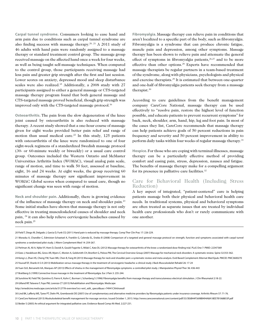**Carpal tunnel syndrome.** Consumers looking to ease hand and arm pain due to conditions such as carpal tunnel syndrome are also finding success with massage therapy.20, 21 A 2011 study of 46 adults with hand pain were randomly assigned to a massage therapy or standard treatment control group. The massage group received massage on the affected hand once a week for four weeks, as well as being taught self-massage techniques. When compared to the control group, those participants receiving massage had less pain and greater grip strength after the first and last session. Lower scores on anxiety, depressed mood and sleep disturbance scales were also realized.15 Additionally, a 2008 study with 27 participants assigned to either a general massage or CTS-targeted massage therapy program found that both general massage and CTS-targeted massage proved beneficial, though grip strength was improved only with the CTS-targeted massage protocol.<sup>16</sup>

**Osteoarthritis.** The pain from the slow degeneration of the knee joint caused by osteoarthritis is also reduced with massage therapy. A recent study showed that a one-hour course of massage given for eight weeks provided better pain relief and range of motion than usual medical care.<sup>22</sup> In this study,  $125$  patients with osteoarthritis of the knee were randomized to one of four eight-week regimens of a standardized Swedish massage protocol (30- or 60-minute weekly or biweekly) or a usual care control group. Outcomes included the Western Ontario and McMaster Universities Arthritis Index (WOMAC), visual analog pain scale, range of motion, and time to walk 50 feet, assessed at baseline, eight, 16 and 24 weeks. At eight weeks, the group receiving 60 minutes of massage therapy saw significant improvement in WOMAC Global scores when compared to usual care, though no significant change was seen with range of motion.

**Neck and shoulder pain.** Additionally, there is growing evidence of the influence of massage therapy on neck and shoulder pain.23 Some initial studies have shown that massage therapy is not only effective in treating musculoskeletal causes of shoulder and neck pain, 24 it can also help relieve cervicogenic headaches caused by neck pain.25

**Fibromyalgia.** Massage therapy can relieve pain in conditions that aren't localized to a specific part of the body, such as fibromyalgia. Fibromyalgia is a syndrome that can produce chronic fatigue, muscle pain and depression, among other symptoms. Massage therapy has been shown to relieve pain and attenuate the general effect of symptoms in fibromyalgia patients, $26,27$  and to be more effective than other options.28 Experts have recommended that massage therapists be regular partners in a team-based treatment of the syndrome, along with physicians, psychologists and physical and exercise therapists.29 It is estimated that between one-quarter and one-half of fibromyalgia patients seek therapy from a massage therapist.30

According to care guidelines from the benefit management company CareCore National, massage therapy can be used effectively to "resolve pain, restore the highest level of function possible, and educate patients to prevent recurrent symptoms" for back, neck, shoulder, arm, hand, hip, leg and foot pain. In most of the cases they list, CareCore recommends that massage therapy can help patients achieve goals of 50 percent reductions in pain frequency and severity and 50 percent improvement in ability to perform daily tasks within four weeks of regular massage therapy.31

**Hospice.** For those who are coping with terminal illnesses, massage therapy can be a particularly effective method of providing comfort and easing pain, stress, depression, nausea and fatigue. The benefits of massage therapy make for a compelling argument for its presence in palliative care facilities.<sup>32</sup>

## Care for Behavioral Health (Including Stress Reduction)

A key aspect of integrated, "patient-centered" care is helping patients manage both their physical and behavioral health care needs. In traditional systems, physical and behavioral symptoms are often treated as separate issues that are treated by individual health care professionals who don't or rarely communicate with one another.

20 Field T, Diego M, Delgado J, Garcia D, Funk CG (2011) Hand pain is reduced by massage therapy. Comp Ther Clin Prac 17: 226-229.

21 Moraska A, Chandler C, Edmiston-Schaetzel A, Franklin G, Calenda EL, Enebo B (2008) Comparison of a targeted and general massage protocol on strength, function and symptoms associated with carpal tunnel syndrome: a randomized pilot study. J Altern Complement Med 14: 259-267.

22 Perlman AI, Ali A, Njike VY, Hom D, Davidi A, Gould-Fogerite S, Milak C, Katz DL (2012) Massage therapy for osteoarthritis of the knee: a randomized dose-finding trial. PLoS One 7: PMID: 22347369

- 23 Ezzo J, Haraldsson BG, Gross AR, Myers C, Morien A, Goldsmith CH, Bronfort G, Peloso PM, The Cervical Overview Group (2007) Massage for mechanical neck disorders: A systematic review. Spine 32:353-362.
- 24 Kong LJ, Zhan HS, Cheng YW, Yuan WA, Chen B, Fang M (2013) Massage therapy for neck and shoulder pain: a systematic review and meta-analysis. Evid Based Complement Alternat Med Epub. PMCID: PMC3600270

25 Youssef EF, Shanb A-S A (2013) Mobilization versus massage therapy in the treatment of cervicogenic headache: a clinical study J Back Musculoskelet Rehabil 26: 17-24

26 Yuan SLK, Bersanetti AA, Marques AP (2013) Effects of shiatsu in the management of fibromyalgia symptoms: a controlled pilot study. J Manipulative Physiol Ther 36: 436-443

27 Brattberg G (1999) Connective tissue massage in the treatment of fibromyalgia. Eur J Pain 3: 235-244.

- 28 Sunshine W, Field TM, Quintino O, Fierro K, Kuhn C, Burman I, Schanberg S (1996) Fibromyalgia benefits from massage therapy and transcutaneous electrical stimulation. J Clin Rheumatol 2:18-22.
- 29 Gilland RP, Talavera F, Foye PM, Lorenzo CT (2013) Rehabilitation and fibromyalgia. Medscape
- http://emedicine.medscape.com/article/312778-overview?src=wnl\_edit\_specol&uac=74941CX#showall

31 CareCore National (2013) Muskuloskeletal benefit management for massage services. Issued October 1, 2013. http://www.carecorenational.com/content/pdf/33/3E6B44F5698B494A8A18EE7B1068853F.pdf 32 Beider S (2005) An ethical argument for integrated palliative care. Evidence-Based Comp Alt Med. 2:227-231.

<sup>30</sup> Lind BK, Lafferty WE, Tyree PT, Diehr PK, Grembowski DE (2007) Use of complementary and alternative medicine providers by fibromyalgia patients under insurance coverage. Arthritis Rheum 57: 71-76.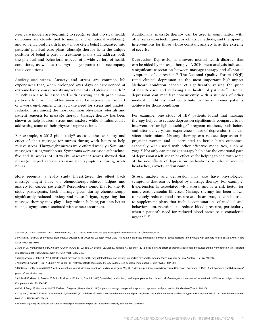New care models are beginning to recognize that physical health outcomes are closely tied to mental and emotional well-being, and so behavioral health is now more often being integrated into patients' physical care plans. Massage therapy is in the unique position of being a part of treatment plans that address both the physical and behavioral aspects of a wide variety of health conditions, as well as the myriad symptoms that accompany these conditions.

**Anxiety and stress.** Anxiety and stress are common life experiences that, when prolonged over days or experienced at extreme levels, can seriously impact mental and physical health.<sup>33,</sup> <sup>34</sup> Both can also be associated with existing health problems particularly chronic problems—or may be experienced as part of a work environment. In fact, the need for stress and anxiety reduction are among the most common physician referrals and patient requests for massage therapy. Massage therapy has been shown to help address stress and anxiety while simultaneously addressing some of their physical repercussions.

For example, a 2012 pilot study<sup>35</sup> assessed the feasibility and effect of chair massage for nurses during work hours to help relieve stress. Thirty-eight nurses were offered weekly 15-minute massages during work hours. Symptoms were assessed at baseline, five and 10 weeks. At 10 weeks, assessment scores showed that massage helped reduce stress-related symptoms during work hours.

More recently, a 2013 study investigated the effect back massage might have on chemotherapy-related fatigue and anxiety for cancer patients.36 Researchers found that for the 40 study participants, back massage given during chemotherapy significantly reduced anxiety and acute fatigue, suggesting that massage therapy may play a key role in helping patients better manage symptoms associated with cancer treatment.

Additionally, massage therapy can be used in combination with other relaxation techniques, psychiatric methods, and therapeutic interventions for those whose constant anxiety is at the extreme of severity.

**Depression.** Depression is a severe mental health disorder that can be aided by massage therapy. A 2010 meta-analysis indicated a significant association between massage therapy and alleviated symptoms of depression. $37$  The National Quality Forum (NQF) rated clinical depression as the most important high-impact Medicare condition capable of significantly raising the price of health care and reducing the health of patients.38 Clinical depression can manifest concurrently with a number of other medical conditions, and contribute to the outcomes patients achieve for those conditions.

For example, one study of HIV patients found that massage therapy helped to reduce depression significantly compared to no interventions or light touching.<sup>39</sup> Pregnant mothers, both before and after delivery, can experience bouts of depression that can affect their infant. Massage therapy can reduce depression in pregnant women and is correlated to better birth outcomes, especially when used with other effective modalities, such as yoga.40 Not only can massage therapy help ease the emotional pain of depression itself, it can be effective for helping to deal with some of the side effects of depression medications, which can include headaches, anxiety and insomnia.

Stress, anxiety and depression may also have physiological symptoms that can be helped by massage therapy. For example, hypertension is associated with stress, and is a risk factor for many cardiovascular illnesses. Massage therapy has been shown to acutely reduce blood pressure and heart rate, so can be used to supplement plans that include combinations of medical and behavioral interventions to reduce blood pressure, particularly when a patient's need for reduced blood pressure is considered urgent.41, 42

36 Karagozoglu, S., Kahve, E (2013) Effects of back massage on chemotherapy-related fatigue and anxiety: supportive care and therapeutic touch in cancer nursing. Appl Nurs Res 26: 210-217.

37 Hou WH, Chiang PT, Hsu TY, Chiu SY, Yen YC (2010). Treatment effects of massage therapy in depressed people: a meta-analysis. J Clin Psych 71:894-901.

42 Olney CM (2005) The effect of therapeutic massage in hypertensive persons: a preliminary study. Biol Res Nurs 7: 98-105.

<sup>33</sup> NIMH (2013) Fact sheet on stress. Downloaded 10/7/2013. http://www.nimh.nih.gov/health/publications/stress/stress\_factsheet\_ln.pdf

<sup>34</sup> Watkins L, Koch GG, Sherwood A, Blumental JA, Davidson JRT, O'Connor C, Sketch MH Jr (2013) Association of anxiety and depression with all-cause mortality in individuals with coronary heart disease. J Amer Heart Assoc PMID: 23537805

<sup>35</sup> Engen DJ, Wahner Roedler DL, Vincent A, Chon TY, Cha SS, Luedtke CA, Loehrer LL, Dion LJ, Rodgers NJ, Bauer BA (2012) Feasibility and effect of chair massage offered to nurses during work hours on stress-related symptoms: a pilot study. Complement Ther Clin Pract 18:212-215.

<sup>38</sup> National Quality Forum (2010) Prioritization of high-impact Medicare conditions and measure gaps. May 2010 Measure prioritization advisory committee report. Downloaded 11/7/13 at http://www.qualityforum.org/ projects/prioritization.aspx

<sup>39</sup> Poland RE, Gertsik L, Favreau JT, Smith SI, Mirocha JM, Rao U, Daar ES (2013) Open-label, randomized, parallel-group controlled clinical trial of message for treatment of depression in HIV-infected subjects. J Altern Complement Med 19: 334-340

<sup>40</sup> Field T, Diego M, Hernandez-Reif M, Medina L, Delgado J, Hernandez A (2012) Yoga and massage therapy reduce prenatal depression and prematurity. J Bodyw Mov Ther 16:204-209

<sup>41</sup> Supa'at I, Zakaria Z, Maskon O. Amminudin A, Nordin NA (2013) Effects of Swedish massage therapy on blood pressure, heart rate, and inflammatory markers in hypertensive women. Evid Based Complement Alternat Med 2013, PMCID:PMC3759268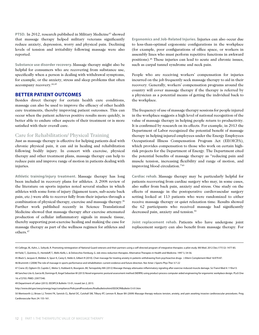**PTSD.** In 2012, research published in Military Medicine<sup>43</sup> showed that massage therapy helped military veterans significantly reduce anxiety, depression, worry and physical pain. Declining levels of tension and irritability following massage were also reported.

**Substance use disorder recovery.** Massage therapy might also be helpful for consumers who are recovering from substance use, specifically when a person is dealing with withdrawal symptoms, for example, or the anxiety, stress and sleep problems that often accompany recovery.44,45

### **Better Patient Outcomes**

Besides direct therapy for certain health care conditions, massage can also be used to improve the efficacy of other health care treatments, thereby improving patient outcomes. This can occur when the patient achieves positive results more quickly, is better able to endure other aspects of their treatment or is more satisfied with their overall care.

### Care for Rehabilitation/ Physical Training

Just as massage therapy is effective for helping patients deal with chronic physical pain, it can aid in healing and rehabilitation following bodily injury. In concert with exercise, physical therapy and other treatment plans, massage therapy can help to reduce pain and improve range of motion in patients dealing with injuries.

**Athletic training/injury treatment.** Massage therapy has long been included in recovery plans for athletes. A 2008 review of the literature on sports injuries noted several studies in which athletes with some form of injury (ligament tears, sub-acute back pain, etc.) were able to recover fully from their injuries through a combination of physical therapy, exercise and massage therapy.46 Further work published recently in Science Translational Medicine showed that massage therapy after exercise attenuated production of cellular inflammatory signals in muscle tissue, thereby supporting post-exercise healing and making the case for massage therapy as part of the wellness regimen for athletes and others.47

**Ergonomics and Job-Related Injuries.** Injuries can also occur due to less-than-optimal ergonomic configurations in the workplace (for example, poor configurations of office space, or workers in assembly lines who must perform repetitive functions in awkward positions).48 These injuries can lead to acute and chronic issues, such as carpal tunnel syndrome and neck pain.

People who are receiving workers' compensation for injuries incurred on the job frequently seek massage therapy to aid in their recovery. Generally, workers' compensation programs around the country will cover massage therapy if the therapy is referred by a physician as a potential means of getting the individual back to the workplace.

The frequency of use of massage therapy sessions for people injured in the workplace suggests a high level of national recognition of the value of massage therapy in helping people return to productivity. It is confirmed by research on its effects. For example, in 2013 the Department of Labor recognized the potential benefit of massage therapy in helping injured employees under the Energy Employees Occupational Illness Compensation Program Act (EEOICPA), which provides compensation to those who work on certain highrisk projects for the Department of Energy. The Department cited the potential benefits of massage therapy as "reducing pain and muscle tension, increasing flexibility and range of motion, and improving blood circulation."49

**Cardiac rehab.** Massage therapy may be particularly helpful for patients recovering from cardiac surgery who may, in some cases, also suffer from back pain, anxiety and stress. One study on the effects of massage in the postoperative cardiovascular surgery setting looked at 113 patients who were randomized to either receive massage therapy or quiet relaxation time. Results showed the 62 participants who received massage had significantly decreased pain, anxiety and tension.<sup>50</sup>

**Joint replacement rehab.** Patients who have undergone joint replacement surgery can also benefit from massage therapy. For

46 Brummitt J (2008) The role of massage in sports performance and rehabilitation: current evidence and future direction. Nor Amer J Sports Phys Ther 3:7-22

http://www.dol.gov/owcp/energy/regs/compliance/PolicyandProcedures/finalbulletinshtml/EEOICPABulletin13-01.htm

<sup>43</sup> Collinge, W., Kahn, J., Soltysik, R. Promoting reintegration of National Guard veterans and their partners using a self-directed program of integrative therapies: a pilot study. Mil Med. 2012 Dec;177(12): 1477-85. 44 Field, T., Quintino, O., Henteleff, T., Wells-Keife, L. & Delvecchio-Feinburg, G. Job stress reduction therapies. Alternative Therapies in Health and Medicine. 1997 3, 54-56.

<sup>45</sup> Black S, Jacques K, Webber A, Spurr K, Carey E, Hebb A, Gilbert R (2010). Chair massage for treating anxiety in patients withdrawing from psychoactive drugs. J Altern Complement Med 16:979-87.

<sup>47</sup> Crane JD, Ogborn DI, Cupido C, Melov S, Hubbard A, Bourgeois JM, Tarnopolsky MA (2012) Massage therapy attenuates inflammatory signaling after exercise-induced muscle damage. Sci Transl Med 4: 119ra13.

<sup>48</sup> Sanchez-Lite A, Garcia M, Domingo R, Angel Sebastian M (2013) Novel ergonomic postural assessment method (NERPA) using product-process computer aided engineering for ergonomic workplace design. PLoS One 16: e72703. PMID: 23977340.

<sup>49</sup> Department of Labor (2013). EEOIPCA Bulletin 13-01, issued Jan 2, 2013.

<sup>50</sup> Wentworth LJ, Brisee LJ, Timimi FK, Sanvick CL, Bartel DC, Cutshall SM, Tilbury RT, Lennon R, Bauer BA (2009) Massage therapy reduces tension, anxiety, and pain awaiting invasive cardiovascular procedures. Prog Cardiovascular Nurs 24: 155-161.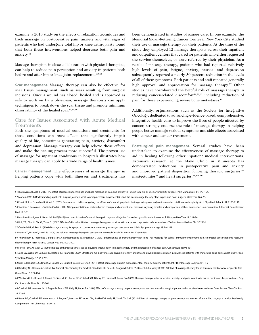example, a 2013 study on the effects of relaxation techniques and back massage on postoperative pain, anxiety and vital signs of patients who had undergone total hip or knee arthroplasty found that both these interventions helped decrease both pain and anxiety.51

Massage therapists, in close collaboration with physical therapists, can help to reduce pain perception and anxiety in patients both before and after hip or knee joint replacements.<sup>52,53</sup>

**Scar management.** Massage therapy can also be effective for scar tissue management, such as scars resulting from surgical incisions. Once a wound has closed, healed and is approved as safe to work on by a physician, massage therapists can apply techniques to break down the scar tissue and promote minimum observability of the healed scar.54,55,56

## Care for Issues Associated with Acute Medical **Treatments**

Both the symptoms of medical conditions and treatments for those conditions can have effects that significantly impair quality of life, sometimes generating pain, anxiety, discomfort and depression. Massage therapy can help relieve those effects and make the healing process more successful. The proven use of massage for inpatient conditions in hospitals illustrates how massage therapy can apply to a wide range of health issues.

**Cancer management.** The effectiveness of massage therapy in helping patients cope with both illnesses and treatments has been demonstrated in studies of cancer care. In one example, the Memorial Sloan-Kettering Cancer Center in New York City studied their use of massage therapy for their patients. At the time of the study they employed 12 massage therapists across their inpatient and outpatient centers that cared for patients who either requested the service themselves, or were referred by their physician. As a result of massage therapy, patients who had reported relatively high levels of pain, fatigue, anxiety, nausea, and depression subsequently reported a nearly 50 percent reduction in the levels of all of their symptoms. Both patients and staff reported generally high approval and appreciation for massage therapy.<sup>57</sup> Other studies have corroborated the helpful role of massage therapy in reducing cancer-related discomfort<sup>58,59,60</sup> including reduction of pain for those experiencing severe bone metastases.<sup>61</sup>

Additionally, organizations such as the Society for Integrative Oncology, dedicated to advancing evidence-based, comprehensive, integrative health care to improve the lives of people affected by cancer, strongly endorse the role of massage therapy in helping people better manage various symptoms and side effects associated with cancer and cancer treatment.

**Postsurgical pain management.** Several studies have been undertaken to examine the effectiveness of massage therapy to aid in healing following other inpatient medical interventions. Extensive research at the Mayo Clinic in Minnesota has demonstrated reductions in postoperative pain and anxiety and improved patient disposition following thoracic surgeries,<sup>62</sup> mastectomies<sup>63</sup> and heart surgeries.<sup>64, 65, 66</sup>

51 Buyukyilmaz F. Asti T (2013) The effect of relaxation techniques and back massage on pain and anxiety in Turkish total hip or knee arthroplasty patients. Pain Manag Nurs 14: 143-154.

52 Morien A(2014) Understanding a patient's surgical journey: what joint replacement surgery entails and the role massage therapy plays in pre- and post- surgery. Mass Ther J 66-78.

53 Ebert JR, Joss B, Jardine B, Wood DJ (2013) Randomized trial investigating the efficacy of manual lymphatic drainage to improve early outcome after total knee anthroplasty. Arch Phys Med Rehabil. 94: 2103-2111.

54 Taspinar F, Bas Aslan U, Sabir N, Cavlak U (2013) Implementation of matrix rhythm therapy and conventional massage in young females and comparison of their acute effects on circulation. J Alternat Complement Med 19: 1-7

- 56 Roh, YS., Cho, H. Oh JO., Yoon, CJ (2007) Effects of skin rehabilitation massage therapy on pruritus, skin status, and depression in burn survivors. Taehan Kanho Hakhoe Chi. 37:221-6.
- 57 Cassileth BR, Vickers AJ (2004) Massage therapy for symptom control: outcome study at a major cancer center. J Pain Symptom Manage 28:244-249

58 Myers CD, Walton T, Small BJ (2008) the value of massage therapy in cancer care. Hematol Oncol Clin North Am 22:649-660.

60 Ferrell-Torry AT, Glick OJ (1993) The use of therapeutic massage as a nursing intervention to modify anxiety and the perception of cancer pain. Cancer Nurs 16: 93-101.

61 Jane SW, Wilkie DJ, Gallucci BB, Beaton RD, Huang HY (2009) Effects of a full-body massage on pain intensity, anxiety, and physiological relaxation in Taiwanese patients with metastatic bone pain: a pilot study. J Pain Symptom Manage 37: 754-763.

62 Dion L, Rodgers N, Cutshall SM, Cordes ME, Bauer B, Cassivi SD, Cha S (2011) Effect of massage on pain management for thoracic surgery patients. Int J Ther Massage Bodywork 4: 1-5

63 Drackley NL, Deqnim AC, Jakub JW, Cutshall SM, Thomley BS, Brodt JK, Vanderlei LK, Case JK, Bungum LD, Cha SS, Bauer BA, Boughey JC (2012) Effect of massage therapy for postsurgical mastectomy recipients. Clin J Oncol Nurs 16: 121-124.

64 Wentworth LJ, Brisee LJ, Timimi FK, Sanvick CL, Bartel DC, Cutshall SM, Tilbury RT, Lennon R, Bauer BA (2009) Massage therapy reduces tension, anxiety, and pain awaiting invasive cardiovascular procedures. Prog Cardiovascular Nurs 24: 155-161

65 Cutshall SM, Wentworth LJ, Engen D, Sundt TM, Kelly RF, Bauer BA (2010) Effect of massage therapy on pain, anxiety and tension in cardiac surgical patients who received standard care. Complement Ther Clin Pract 16: 92-95.

66 Bauer BA, Cutshall SM, Wentworth LJ, Engen D, Messner PK, Wood CM, Brekke KM, Kelly RF, Sundt TM 3rd. (2010) Effect of massage therapy on pain, anxiety and tension after cardiac surgery: a randomized study. Complement Ther Clin Pract 16: 70-75.

<sup>55</sup> Martinez Rodriguez R, Galan del Rio F (2013) Mechanistic basis of manual therapy in myofascial injuries. Sonoelastographic evolution control. J Bodyw Mov Ther 17: 221-34.

<sup>59</sup> Khiewkhern S, Promthet S, Sukprasert A, Eunhpinitpong W, Bradshaw S (2013) Effectiveness of aromatherapy with light Thai massage for cellular immunity improvement in colorectal cancer patients receiving chemotherapy. Asian Pacific J Cancer Prev 14: 3903-3907.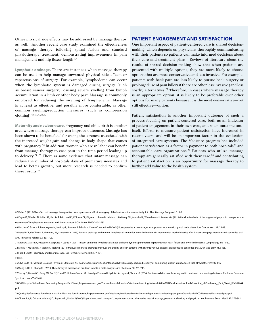Other physical side effects may be addressed by massage therapy as well. Another recent case study examined the effectiveness of massage therapy following spinal fusion and standard physiotherapy treatment, demonstrating improvements in pain management and hip flexor length.<sup>67</sup>

**Lymphatic drainage.** There are instances when massage therapy can be used to help manage unwanted physical side effects or repercussions of surgery. For example, lymphedema can occur when the lymphatic system is damaged during surgery (such as breast cancer surgery), causing severe swelling from lymph accumulation in a limb or other body part. Massage is commonly employed for reducing the swelling of lymphedema. Massage is at least as effective, and possibly more comfortable, as other common swelling-reduction measures (such as compression clothing).68,69,70,71,72

**Maternity and newborn care.** Pregnancy and child birth is another area where massage therapy can improve outcomes. Massage has been shown to be beneficial for easing the soreness associated with the increased weight gain and change in body shape that comes with pregnancy.<sup>73</sup> In addition, women who are in labor can benefit from massage therapy to ease pain in the time period leading up to delivery.74, 75 There is some evidence that infant massage can reduce the number of hospitals days of premature neonates and lead to better growth, but more research is needed to confirm these results.76

### **Patient Engagement and Satisfaction**

One important aspect of patient-centered care is shared decisionmaking, which depends on physicians thoroughly communicating with their patients so patients can make informed decisions about their care and treatment plans. Reviews of literature about the results of shared decision-making show that when patients are presented with multiple options, they are more likely to choose options that are more conservative and less invasive. For example, patients with back pain are less likely to pursue back surgery or prolonged use of pain killers if there are other less invasive (and less costly) alternatives.<sup>77</sup> Therefore, in cases where massage therapy is an appropriate option, it is likely to be preferable over other options for many patients because it is the most conservative—yet still effective—option.

Patient satisfaction is another important outcome of such a process focusing on patient-centered care, both as an indicator of patient engagement in their own care, and as an outcome unto itself. Efforts to measure patient satisfaction have increased in recent years, and will be an important factor in the evaluation of integrated care systems. The Medicare program has included patient satisfaction as a factor in payment to both hospitals<sup>78</sup> and accountable care organizations.79 Patients who utilize massage therapy are generally satisfied with their care,<sup>80</sup> and contributing to patient satisfaction is an opportunity for massage therapy to further add value to the health system.

76 Wang L, He JL, Zhang XH (2013) The efficacy of massage on pre-term infants: a meta-analysis. Am J Perinatol 30: 731-738.

<sup>67</sup> Keller G (2012) The effects of massage therapy after decompression and fusion surgery of the lumbar spine: a case study. Int J Ther Massage Bodywork 5: 3-8

<sup>68</sup> Dayes IS, Whelan TJ, Julian JA, Parpia S, Pritchard KI, D'Souza DP, Kligman L, Reise D, Leblanc L, McNeely ML, Manchul L, Wiernikowski J, Levine MN (2013) Randomized trial of decongestive lymphatic therapy for the treatment of lymphedema in women with breast cancer. J Clin Oncol PMID:24043733

<sup>69</sup> Forchuk C, Baruth, P, Prendegrast M, Holiday R, Brimner S, Schulz, V, Chan YC, Yammine N (2004) Postoperative arm massage: a support for women with lymph node dissection. Cancer Nurs. 27: 25-33.

<sup>70</sup> Bertelli DF, de Oliveira P, Gimenes, AS, Moreno MA (2013) Postural drainage and manual lymphatic drainage for lower limb edema in women with morbid obesity after bariatric surgery: a randomized controlled trial. Am J Phys Med Rehabil 92: 697-703.

<sup>71</sup> Leduc O, Crasset V, Pastouret F, Wilputte F, Leduc A (2011) Impact of manual lymphatic drainage on hemodynamic parameters in patients with heart failure and lower limb edema. Lymphology 44: 13-20.

<sup>72</sup> Molski P, Kruczynski J, Molski A, Molski S (2013) Manual lymphatic drainage improves the quality of life in patients with chronic venous disease: a randomized controlled trial. Arch Med Sci 9: 452-458.

<sup>73</sup> Field T (2010) Pregnancy and labor massage. Exp Rev Obstet Gynecol 5:177-181.

<sup>74</sup> Ibid.

<sup>75</sup> Silva Gallo RB, Santana LS, Jorge Ferreira CH, Marcolin AC, Polineto OB, Duarte G, Quintana SM (2013) Massage reduced severity of pain during labour: a randomised trial. J Physiother 59:109-116.

<sup>77</sup> Stacey D, Bennet CL, Barry MJ, Col NF, Eden KB, Holmes-Rovner M, Llewellyn-Thomas H, Lyddiatt A, Legare F, Thomas R (2014) Decision aids for people facing health treatment or screening decisions. Cochrane Database Syst 1: Art. No.: CD001431

<sup>78</sup> CMS Hospital Value-Based Purchasing Program Fact Sheet, http://www.cms.gov/Outreach-and-Education/Medicare-Learning-Network-MLN/MLNProducts/downloads/Hospital\_VBPurchasing\_Fact\_Sheet\_ICN907664. pdf

<sup>79</sup> Quality Performance Standards Narrative Measure Specifications, http://www.cms.gov/Medicare/Medicare-Fee-for-Service-Payment/sharedsavingsprogram/Downloads/ACO-NarrativeMeasures-Specs.pdf 80 Oldendick, R, Coker A, Wieland, D., Raymond J, Probst J (2000) Population-based survey of complementary and alternative medicine usage, patient satisfaction, and physician involvement. South Med J 92: 375-381.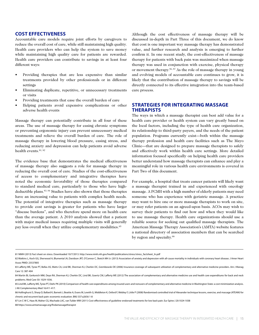#### **Cost Effectiveness**

Accountable care models require joint efforts by caregivers to reduce the overall cost of care, while still maintaining high quality. Health care providers who can help the system to save money while maintaining high quality care for patients are rewarded. Health care providers can contribute to savings in at least four different ways:

- Providing therapies that are less expensive than similar treatments provided by other professionals or in different settings
- Eliminating duplicate, repetitive, or unnecessary treatments or visits
- Providing treatments that ease the overall burden of care
- Helping patients avoid expensive complications or other adverse health events

Massage therapy can potentially contribute in all four of these areas. The use of massage therapy for easing chronic symptoms or preventing ergonomic injury can prevent unnecessary medical treatments and relieve the overall burden of care. The role of massage therapy in lowering blood pressure, easing stress, and reducing anxiety and depression can help patients avoid adverse health events.<sup>81, 82</sup>

The evidence base that demonstrates the medical effectiveness of massage therapy also suggests a role for massage therapy in reducing the overall cost of care. Studies of the cost-effectiveness of access to complementary and integrative therapies have noted the economic favorability of those therapies compared to standard medical care, particularly to those who have highdeductible plans.83, 84 Studies have also shown that those therapies have an increasing value to patients with complex health needs. The potential of integrative therapies such as massage therapy to provide cost savings is greater for patients who have larger "disease burdens", and who therefore spend more on health care than the average patient. A 2010 analysis showed that a patient with major medical issues requiring multiple visits will generally pay less overall when they utilize complementary modalities.<sup>85</sup>

Although the cost effectiveness of massage therapy will be discussed in-depth in Part Three of this document, we do know that cost is one important way massage therapy has demonstrated value, and further research and analysis is emerging to further confirm it. In one recent study, the cost-effectiveness of massage therapy for patients with back pain was maximized when massage therapy was used in conjunction with exercise, physical therapy or movement therapy.<sup>86, 87</sup> As the role of massage therapy in young and evolving models of accountable care continues to grow, it is likely that the contribution of massage therapy to savings will be directly connected to its effective integration into the team-based care process.

## **Strategies for Integrating Massage Therapists**

The ways in which a massage therapist can best add value for a health care provider or health system can vary greatly based on the local factors, including the type of health care organization, its relationship to third-party payers, and the needs of the patient population. Programs currently exist—both within the massage therapy profession and health care facilities such as The Mayo Clinic—that are designed to prepare massage therapists to safely and effectively work within health care settings. More detailed information focused specifically on helping health care providers better understand how massage therapists can enhance and play a meaningful role in various health care environments is covered in Part Two of this document.

For example, a hospital that treats cancer patients will likely want a massage therapist trained in and experienced with oncology massage. A PCMH with a high number of elderly patients may need someone who has experience with geriatric massage. A practice may want to hire one or more massage therapists to work on site, or may refer patients on an agreed-upon basis. ACOs may wish to survey their patients to find out how and when they would like to use massage therapy. Health care organizations should use a reliable source for seeking out qualified massage therapists. The American Massage Therapy Association's (AMTA) website features a national directory of association members that can be searched by region and specialty.<sup>88</sup>

87 Lin C-W C, Haas M, Maher CG, Machado LAC, van Tulder MW (2011) Cost-effectiveness of guideline-endorsed treatments for low back pain. Eur Spine J 20:1024-1038

88 https://www.amtamassage.org/findamassagetherapist

<sup>81</sup> NIMH (2013) Fact sheet on stress. Downloaded 10/7/2013. http://www.nimh.nih.gov/health/publications/stress/stress\_factsheet\_ln.pdf

<sup>82</sup> Watkins L, Koch GG, Sherwood A, Blumental JA, Davidson JRT, O'Connor C, Sketch MH Jr. (2013) Association of anxiety and depression with all-cause mortality in individuals with coronary heart disease. J Amer Heart Assoc PMID: 23537805

<sup>83</sup> Lafferty WE, Tyree PT, Bellas AS, Watts CA, Lind BK, Sherman KJ, Cherkin DC, Grembowski DE (2006) Insurance coverage of subsequent utilization of complementary and alternative medicine providers. Am J Manag Care 12: 387-404

<sup>84</sup> Martin BI, Gerkovich MM, Deyo RA, Sherman KJ, Cherkin DC, Lind BK, Goertz CM, Lafferty WE (2012) The association of complementary and alternative medicine use and health care expenditures for back and neck problems. Med Care 50: 1029-1036.

<sup>85</sup> Lind BK, Lafferty WE, Tyree PT, Diehr PK (2010) Comparison of health care expenditures among insured users and nonusers of complementary and alternative medicine in Washington State: a cost minimization analysis. J Alt Complementary Med 16:411-417.

<sup>86</sup> Hollinghurst S, Sharp D, Ballard K, Barnett J, Beattie A, Evans M, Lewith G, Middleton K, Oxford F, Webley F, Little P (2008) Randomised controlled trial of Alexander technique lessons, exercise, and massage (ATEAM) for chronic and recurrent back pain: economic evaluation. BMJ 337:a2656 1-8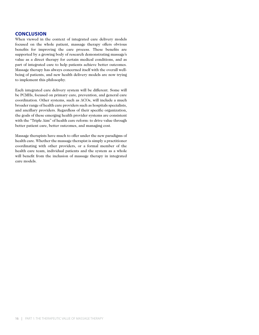## **Conclusion**

When viewed in the context of integrated care delivery models focused on the whole patient, massage therapy offers obvious benefits for improving the care process. These benefits are supported by a growing body of research demonstrating massage's value as a direct therapy for certain medical conditions, and as part of integrated care to help patients achieve better outcomes. Massage therapy has always concerned itself with the overall wellbeing of patients, and new health delivery models are now trying to implement this philosophy.

Each integrated care delivery system will be different. Some will be PCMHs, focused on primary care, prevention, and general care coordination. Other systems, such as ACOs, will include a much broader range of health care providers such as hospitals specialists, and ancillary providers. Regardless of their specific organization, the goals of these emerging health provider systems are consistent with the "Triple Aim" of health care reform: to drive value through better patient care, better outcomes, and managing cost.

Massage therapists have much to offer under the new paradigms of health care. Whether the massage therapist is simply a practitioner coordinating with other providers, or a formal member of the health care team, individual patients and the system as a whole will benefit from the inclusion of massage therapy in integrated care models.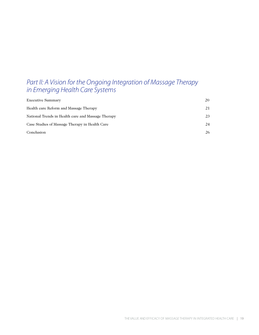## *Part II: A Vision for the Ongoing Integration of Massage Therapy in Emerging Health Care Systems*

| <b>Executive Summary</b>                           | 20 |
|----------------------------------------------------|----|
| Health care Reform and Massage Therapy             | 21 |
| National Trends in Health care and Massage Therapy | 23 |
| Case Studies of Massage Therapy in Health Care     | 24 |
| Conclusion                                         | 26 |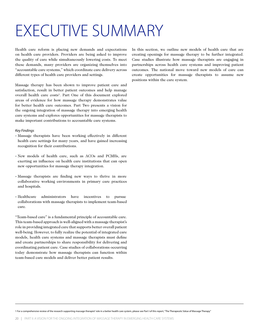## EXECUTIVE SUMMARY

Health care reform is placing new demands and expectations on health care providers. Providers are being asked to improve the quality of care while simultaneously lowering costs. To meet these demands, many providers are organizing themselves into "accountable care systems," which coordinate care delivery across different types of health care providers and settings.

Massage therapy has been shown to improve patient care and satisfaction, result in better patient outcomes and help manage overall health care costs<sup>1</sup>. Part One of this document explored areas of evidence for how massage therapy demonstrates value for better health care outcomes. Part Two presents a vision for the ongoing integration of massage therapy into emerging health care systems and explores opportunities for massage therapists to make important contributions to accountable care systems.

#### *Key Findings*

- Massage therapists have been working effectively in different health care settings for many years, and have gained increasing recognition for their contributions.
- New models of health care, such as ACOs and PCMHs, are exerting an influence on health care institutions that can open new opportunities for massage therapy integration.
- Massage therapists are finding new ways to thrive in more collaborative working environments in primary care practices and hospitals.
- Healthcare administrators have incentives to pursue collaborations with massage therapists to implement team-based care.

"Team-based care" is a fundamental principle of accountable care. This team-based approach is well-aligned with a massage therapist's role in providing integrated care that supports better overall patient well-being. However, to fully realize the potential of integrated care models, health care systems and massage therapists must define and create partnerships to share responsibility for delivering and coordinating patient care. Case studies of collaborations occurring today demonstrate how massage therapists can function within team-based care models and deliver better patient results.

In this section, we outline new models of health care that are creating openings for massage therapy to be further integrated. Case studies illustrate how massage therapists are engaging in partnerships across health care systems and improving patient outcomes. The national move toward new models of care can create opportunities for massage therapists to assume new positions within the care system.

1 For a comprehensive review of the research supporting massage therapist' role in a better health care system, please see Part I of this report, "The Therapeutic Value of Massage Therapy"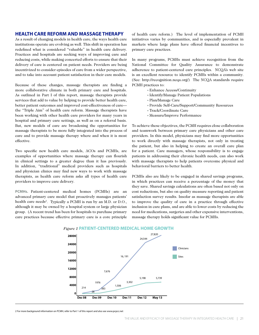#### **HEALTH CARE REFORM AND MASSAGE THERAPY**

As a result of changing models in health care, the ways health care institutions operate are evolving as well. This shift in operation has redefined what is considered "valuable" in health care delivery. Practices and hospitals are seeking ways of improving care and reducing costs, while making concerted efforts to ensure that their delivery of care is centered on patient needs. Providers are being incentivized to consider episodes of care from a wider perspective, and to take into account patient satisfaction in their care models.

Because of these changes, massage therapists are finding a more collaborative climate in both primary care and hospitals. As outlined in Part I of this report, massage therapists provide services that add to value by helping to provide better health care, better patient outcomes and improved cost-effectiveness of care the "Triple Aim" of health care reform. Massage therapists have been working with other health care providers for many years in hospital and primary care settings, as well as on a referral basis. But, new models of care are broadening the opportunities for massage therapists to be more fully integrated into the process of care and to provide massage therapy where and when it is most effective.

Two specific new health care models, ACOs and PCMHs, are examples of opportunities where massage therapy can flourish in clinical settings to a greater degree than it has previously. In addition, "traditional" medical providers such as hospitals and physician clinics may find new ways to work with massage therapists, as health care reform asks all types of health care providers to improve care delivery.

**PCMHs.** Patient-centered medical homes (PCMHs) are an advanced primary care model that proactively manages patients' health care needs<sup>2</sup>. Typically a PCMH is run by an M.D. or D.O., although it may be owned by a hospital system or large physician group. (A recent trend has been for hospitals to purchase primary care practices because effective primary care is a core principle

of health care reform.) The level of implementation of PCMH initiatives varies by communities, and is especially prevalent in markets where large plans have offered financial incentives to primary care practices.

In many programs, PCMHs must achieve recognition from the National Committee for Quality Assurance to demonstrate adherence to patient-centered care principles. NCQA's web site is an excellent resource to identify PCMHs within a community. (See: http://recognition.ncqa.org/) The NCQA standards require PCMH practices to:

- Enhance Access/Continuity
- Identify/Manage Patient Populations
- Plan/Manage Care
- Provide Self-Care/Support/Community Resources
- Track/Coordinate Care
- Measure/Improve Performance

To achieve these objectives, the PCMH requires close collaboration and teamwork between primary care physicians and other care providers. In this model, physicians may find more opportunities to work directly with massage therapists, not only in treating the patient, but also in helping to create an overall care plan for a patient. Care managers, whose responsibility is to engage patients in addressing their chronic health needs, can also work with massage therapists to help patients overcome physical and behavioral barriers to better health.

PCMHs also are likely to be engaged in shared savings programs, in which practices can receive a percentage of the money that they save. Shared savings calculations are often based not only on cost reductions, but also on quality measure reporting and patient satisfaction survey results. Insofar as massage therapists are able to improve the quality of care in a practice through effective inclusion in care plans, and are able to lower costs by reducing the need for medications, surgeries and other expensive interventions, massage therapy holds significant value for PCMHs.



### *Figure 1* **PATIENT-CENTERED MEDICAL HOME GROWTH**

2 For more background information on PCMH, refer to Part 1 of this report and also see www.pcpcc.net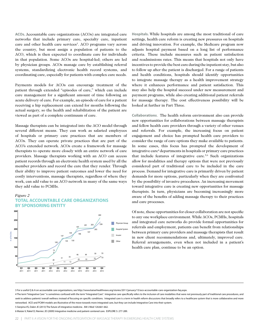**ACOs.** Accountable care organizations (ACOs) are integrated care networks that include primary care, specialty care, inpatient care and other health care services<sup>3</sup>. ACO programs vary across the country, but most assign a population of patients to the ACO, which is then expected to coordinate care for individuals in that population. Some ACOs are hospital-led; others are led by physician groups. ACOs manage care by establishing referral systems, standardizing electronic health record systems, and coordinating care, especially for patients with complex care needs.

Payments models for ACOs can encourage treatment of the patient through extended "episodes of care," which can include care management for a significant amount of time following an acute delivery of care. For example, an episode of care for a patient receiving a hip replacement can extend for months following the actual surgery, so the health and rehabilitation of the patient are viewed as part of a complete continuum of care.

Massage therapists can be integrated into the ACO model through several different means. They can work as salaried employees of hospitals or primary care practices that are members of ACOs. They can operate private practices that are part of the ACO's extended network. ACOs create a framework for massage therapists to operate more closely with an entire network of care providers. Massage therapists working with an ACO can access patient records through an electronic health system used by all the member providers and record the care that they render. Through their ability to improve patient outcomes and lower the need for costly interventions, massage therapists, regardless of where they work, can add value to an ACO network in many of the same ways they add value to PCMHs.

#### *Figure 2*  **TOTAL ACCOUNTABLE CARE ORGANIZATIONS BY SPONSORING ENTITY**



**Hospitals.** While hospitals are among the most traditional of care settings, health care reform is creating new pressures on hospitals and driving innovation. For example, the Medicare program now adjusts hospital payment based on a long list of performance criteria. These include measures such as patient satisfaction and readmissions rates. This means that hospitals not only have incentives to provide the best care during the inpatient stay, but also to follow up after the patient is discharged. For a range of patients and health conditions, hospitals should identify opportunities to integrate massage therapy as a health improvement strategy where it enhances performance and patient satisfaction. This may also help the hospital succeed under new measurement and payment programs, while also creating additional patient referrals for massage therapy. The cost effectiveness possibility will be looked at further in Part Three.

**Collaborations**. The health reform environment also can provide new opportunities for collaborations between massage therapists and fellow health care providers through a variety of other venues and referrals. For example, the increasing focus on patient engagement and choice has prompted health care providers to consider the range of care options they make available to patients. In some cases, this focus has prompted the development of integrative care<sup>4</sup> departments in hospitals or primary care practices that include features of integrative care.<sup>5,6</sup> Such organizations allow for modalities and therapy options that were not previously considered part of traditional care to be included in the care process. Demand for integrative care is primarily driven by patient demands for more options, particularly when they are confronted by the possibility of invasive procedures. An increasing movement toward integrative care is creating new opportunities for massage therapists. In turn, physicians are becoming increasingly more aware of the benefits of adding massage therapy to their practices and care processes.

Of note, these opportunities for closer collaboration are not specific to any one workplace environment. While ACOs, PCMHs, hospitals and integrated care networks do provide formal opportunities for referrals and employment, patients can benefit from relationships between primary care providers and massage therapists that result in new client recommendations and, ultimately, improved care. Referral arrangements, even when not included in a patient's health care plan, continue to be an option.

5 Sierpina VS, Dalen JE (2013) The future of integrative medicine. AM J Med 126:661-662.

6 Maizes V, Rakel D, Nieniec JD (2009) Integrative medicine and patient-centered care. EXPLORE 5: 277-289.

<sup>3</sup> For a useful Q & A on accountable care organizations, see http://www.kaiserhealthnews.org/stories/2011/january/13/aco-accountable-care-organization-faq.aspx.

<sup>4</sup> The term "Integrative Care " is sometimes confused with the term "Integrated Care". Integrative care specifically refers to the inclusion of care modalities that were not previously part of traditional care procedures, and seek to address patients' overall wellness instead of focusing on specific conditions. Integrated care is a term in health reform discussions that broadly refers to a healthcare system that is more collaborative and more networked. ACO and PCMH models are illustrative of the move towards more integrated care, but they can include Integrative Care into their system.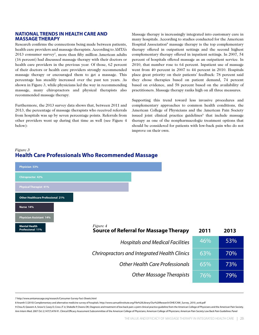## **NATIONAL TRENDS IN HEALTH CARE AND MASSAGE THERAPY**

Research confirms the connections being made between patients, health care providers and massage therapists. According to AMTA's  $2013$  consumer survey<sup>7</sup>, more than fifty million American adults (16 percent) had discussed massage therapy with their doctors or health care providers in the previous year. Of those, 62 percent of their doctors or health care providers strongly recommended massage therapy or encouraged them to get a massage. This percentage has steadily increased over the past ten years. As shown in Figure 3, while physicians led the way in recommending massage, many chiropractors and physical therapists also recommended massage therapy.

Furthermore, the 2013 survey data shows that, between 2011 and 2013, the percentage of massage therapists who received referrals from hospitals was up by seven percentage points. Referrals from other providers went up during that time as well (see Figure 4 below):

Massage therapy is increasingly integrated into customary care in many hospitals. According to studies conducted for the American Hospital Association<sup>8</sup> massage therapy is the top complementary therapy offered in outpatient settings and the second highest complementary therapy offered in inpatient settings. In 2007, 54 percent of hospitals offered massage as an outpatient service. In 2010, that number rose to 64 percent. Inpatient use of massage went from 40 percent in 2007 to 44 percent in 2010. Hospitals place great priority on their patients' feedback: 78 percent said they chose therapies based on patient demand, 74 percent based on evidence, and 58 percent based on the availability of practitioners. Massage therapy ranks high on all three measures.

Supporting this trend toward less invasive procedures and complementary approaches to common health conditions, the American College of Physicians and the American Pain Society issued joint clinical practice guidelines<sup>9</sup> that include massage therapy as one of the nonpharmacologic treatment options that should be considered for patients with low-back pain who do not improve on their own.

## *Figure 3* **Health Care Professionals Who Recommended Massage**

| Physician 53%                            |                                                                  |      |      |
|------------------------------------------|------------------------------------------------------------------|------|------|
| <b>Chiropractor 42%</b>                  |                                                                  |      |      |
| <b>Physical Therapist 41%</b>            |                                                                  |      |      |
| <b>Other Healthcare Professional 21%</b> |                                                                  |      |      |
| Nurse 14%                                |                                                                  |      |      |
| <b>Physician Assistant 14%</b>           |                                                                  |      |      |
| <b>Mental Health</b><br>Professional 11% | <i>Figure 4</i><br><b>Source of Referral for Massage Therapy</b> | 2011 | 2013 |
|                                          | <b>Hospitals and Medical Facilities</b>                          | 46%  | 53%  |
|                                          | Chriropractors and Integrated Health Clinics                     | 63%  | 70%  |
|                                          | Other Health Care Professionals                                  | 65%  | 73%  |
|                                          | <b>Other Massage Therapists</b>                                  | 76%  | 79%  |

7 http://www.amtamassage.org/research/Consumer-Survey-Fact-Sheets.html

8 Ananth S (2010) Complementary and alternative medicine survey of hospitals. http://www.samueliinstitute.org/File%20Library/Our%20Research/OHE/CAM\_Survey\_2010\_oct6.pdf

9 Chou R, Qaseem A, Snow V, Casey D, Cross JT Jr, Shekelle P, Owens DK; Diagnosis and treatment of low back pain: a joint clinical practice guideline from the American College of Physicians and the American Pain Society. Ann Intern Med. 2007 Oct 2;147(7):478-91. Clinical Efficacy Assessment Subcommittee of the American College of Physicians; American College of Physicians; American Pain Society Low Back Pain Guidelines Panel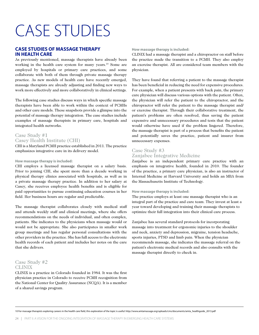## CASE STUDIES

## **CASE STUDIES OF MASSAGE THERAPY IN HEALTH CARE**

As previously mentioned, massage therapists have already been working in the health care system for many years.<sup>10</sup> Some are employed by hospitals or primary care practices, and some collaborate with both of them through private massage therapy practice. As new models of health care have recently emerged, massage therapists are already adjusting and finding new ways to work more effectively and more collaboratively in clinical settings.

The following case studies discuss ways in which specific massage therapists have been able to work within the context of PCMHs and other care models. These snapshots provide a glimpse into the potential of massage therapy integration. The case studies include examples of massage therapists in primary care, hospitals and integrated health networks.

## Case Study #1 Casey Health Institute (CHI)

CHI is a Maryland PCMH practice established in 2011. The practice emphasizes integrative care in its delivery model.

#### **How massage therapy is included:**

CHI employs a licensed massage therapist on a salary basis. Prior to joining CHI, she spent more than a decade working in physical therapy clinics associated with hospitals, as well as in a private massage therapy practice. In addition to her salary at Casey, she receives employee health benefits and is eligible for paid opportunities to pursue continuing education courses in her field. Her business hours are regular and predictable.

The massage therapist collaborates closely with medical staff and attends weekly staff and clinical meetings, where she offers recommendations on the needs of individual, and often complex, patients. She indicates to the physicians when massage would or would not be appropriate. She also participates in smaller work group meetings and has regular personal consultations with the other providers in the practice. She has full access to the electronic health records of each patient and includes her notes on the care that she delivers.

## Case Study #2 **CLINIX**

CLINIX is a practice in Colorado founded in 1984. It was the first physician practice in Colorado to receive PCMH recognition from the National Center for Quality Assurance (NCQA). It is a member of a shared savings program.

#### **How massage therapy is included:**

CLINIX had a massage therapist and a chiropractor on staff before the practice made the transition to a PCMH. They also employ an exercise therapist. All are considered team members with the physician.

They have found that referring a patient to the massage therapist has been beneficial in reducing the need for expensive procedures. For example, when a patient presents with back pain, the primary care physician will discuss various options with the patient. Often, the physician will refer the patient to the chiropractor, and the chiropractor will refer the patient to the massage therapist and/ or exercise therapist. Through their collaborative treatment, the patient's problems are often resolved, thus saving the patient expensive and unnecessary procedures and tests that the patient would otherwise have used if the problem lingered. Therefore, the massage therapist is part of a process that benefits the patient and potentially saves the practice, patient and insurer from unnecessary expenses.

## Case Study #3 Zanjabee Integrative Medicine

Zanjabee is an independent primary care practice with an emphasis on integrative health, founded in 2010. The founder of the practice, a primary care physician, is also an instructor of Internal Medicine at Harvard University and holds an MBA from the Massachusetts Institute of Technology.

#### **How massage therapy is included:**

The practice employs at least one massage therapist who is an integral part of the practice and care team. They invest at least a year toward developing and training their massage therapists to optimize their full integration into their clinical care process.

Zanjabee has several standard protocols for incorporating massage into treatment for ergonomic injuries to the shoulder and neck, anxiety and depression, migraine, tension headache, sports injuries, PTSD and limb pain. When the physician recommends massage, she indicates the massage referral on the patient's electronic medical records and also consults with the massage therapist directly to check in.

10 For massage therapists exploring careers in the health care field, this exploration of the topic is useful: http://www.amtamassage.org/uploads/cms/documents/amta\_healthguide\_2013.pdf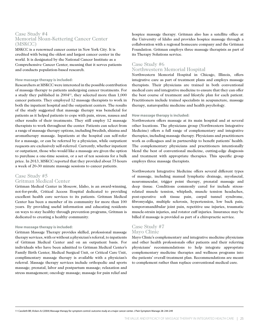## Case Study #4 Memorial Sloan-Kettering Cancer Center (MSKCC)

MSKCC is a renowned cancer center in New York City. It is credited with being the oldest and largest cancer center in the world. It is designated by the National Cancer Institute as a Comprehensive Cancer Center, meaning that it serves patients and conducts population-based research.

#### **How massage therapy is included:**

Researchers at MSKCC were interested in the possible contribution of massage therapy to patients undergoing cancer treatments. For a study they published in 200411, they selected more than 1,000 cancer patients. They employed 12 massage therapists to work in both the inpatient hospital and the outpatient centers. The results of the study suggested that massage therapy was beneficial for patients as it helped patients to cope with pain, stress, nausea and other results of their treatments. They still employ 12 massage therapists to work throughout the center. Patients can select from a range of massage therapy options, including Swedish, shiatsu and aromatherapy massage. Inpatients at the hospital can self-refer for a massage, or can be referred by a physician, while outpatient requests are exclusively self-referred. Currently, whether inpatient or outpatient, those who would like a massage are given the option to purchase a one-time session, or a set of ten sessions for a bulk price. In 2013, MSKCC reported that they provided about 75 hours a week of 20-30 minute massage sessions to cancer patients.

#### Case Study #5

#### Gritman Medical Center

Gritman Medical Center in Moscow, Idaho, is an award-winning, not-for-profit, Critical Access Hospital dedicated to providing excellent health care services to its patients. Gritman Medical Center has been a member of its community for more than 100 years. By providing useful information and educating residents on ways to stay healthy through prevention programs, Gritman is dedicated to creating a healthy community.

#### **How massage therapy is included:**

Gritman Massage Therapy provides skilled, professional massage therapy services, with or without a physician's referral, to inpatients of Gritman Medical Center and on an outpatient basis. For individuals who have been admitted to Gritman Medical Center's Family Birth Center, Medical Surgical Unit, or Critical Care Unit, complimentary massage therapy is available with a physician's referral. Massage therapy services include orthopedic and sports massage; prenatal, labor and postpartum massage; relaxation and stress management; oncology massage; massage for pain relief and hospice massage therapy. Gritman also has a satellite office at the University of Idaho and provides hospice massage through a collaboration with a regional homecare company and the Gritman Foundation. Gritman employs three massage therapists as part of its Therapy Solutions service.

#### Case Study #6

#### Northwestern Memorial Hospital

Northwestern Memorial Hospital in Chicago, Illinois, offers integrative care as part of treatment plans and employs massage therapists. Their physicians are trained in both conventional medical care and integrative medicine to ensure that they can offer the best course of treatment and lifestyle plan for each patient. Practitioners include trained specialists in acupuncture, massage therapy, naturopathic medicine and health psychology.

#### **How massage therapy is included:**

Northwestern offers massage at its main hospital and at several other locations. The physicians group (Northwestern Integrative Medicine) offers a full range of complementary and integrative therapies, including massage therapy. Physicians and practitioners work as colleagues and in partnership to benefit patients' health. The complementary physicians and practitioners intentionally blend the best of conventional medicine, cutting-edge diagnosis and treatment with appropriate therapies. This specific group employs three massage therapists.

Northwestern Integrative Medicine offers several different types of massage, including manual lymphatic drainage, myofascial, neuromuscular, trigger point therapy, prenatal massage and deep tissue. Conditions commonly cared for include stressrelated muscle tension, whiplash, muscle tension headaches, post-operative soft tissue pain, carpal tunnel syndrome, fibromyalgia, multiple sclerosis, hypertension, low back pain, temporomandibular joint pain, repetitive use injuries, traumatic muscle-strain injuries, and rotator cuff injuries. Insurance may be billed if massage is provided as part of a chiropractic service.

## Case Study #7 Mayo Clinic

Mayo Clinic's complementary and integrative medicine physicians and other health professionals offer patients and their referring physicians' recommendations to help integrate appropriate complementary medicine therapies and wellness programs into the patients' overall treatment plan. Recommendations are meant to complement rather than replace conventional medical care.

11 Cassileth BR, Vickers AJ (2004) Massage therapy for symptom control: outcome study at a major cancer center. J Pain Symptom Manage 28: 244-249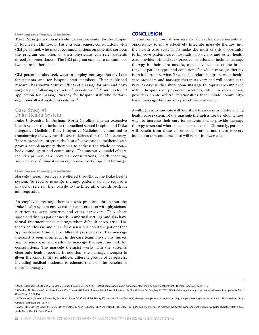#### **How massage therapy is included:**

The CIM program supports a clinical service center for the campus in Rochester, Minnesota. Patients can request consultations with CIM personnel, who make recommendations on potential services the program can offer, or their physicians can refer patients directly to practitioners. The CIM program employs a minimum of two massage therapists.

CIM personnel also seek ways to employ massage therapy both for patients and for hospital staff members. Their published research has shown positive effects of massage for pre- and postsurgical pain following a variety of procedures<sup>12,13,14</sup>, and has found application for massage therapy for hospital staff who perform ergonomically-stressful procedures.<sup>15</sup>

#### Case Study #8 Duke Health System

Duke University, in Durham, North Carolina, has an extensive health system that includes the medical school hospital and Duke Integrative Medicine. Duke Integrative Medicine is committed to transforming the way health care is delivered in the 21st century. Expert providers integrate the best of conventional medicine with proven complementary therapies to address the whole person body, mind, spirit and community. The innovative model of care includes primary care, physician consultations, health coaching, and an array of clinical services, classes, workshops and trainings.

#### **How massage therapy is included:**

Massage therapy services are offered throughout the Duke health system. To receive massage therapy, patients do not require a physician referral; they can go to the integrative health program and request it.

An employed massage therapist who practices throughout the Duke health system enjoys extensive interaction with physicians, nutritionists, acupuncturists and other caregivers. They share space and discuss patient needs in informal settings, and also have formal treatment team meetings when difficult cases arise. The teams are diverse and allow for discussions about the patient that approach care from many different perspectives. The massage therapist is seen as an equal in the care team; physicians, nurses and patients can approach the massage therapist and ask for consultations. The massage therapist works with the system's electronic health records. In addition, the massage therapist is given the opportunity to address different groups of caregivers, including medical students, to educate them on the benefits of massage therapy.

#### **CONCLUSION**

The movement toward new models of health care represents an opportunity to more effectively integrate massage therapy into the health care system. To make the most of this opportunity to improve patient care, hospitals, physicians and other health care providers should seek practical solutions to include massage therapy in their care models, especially because of the broad range of patient types and conditions for which massage therapy is an important service. The specific relationships between health care providers and massage therapists vary and will continue to vary. As case studies show, some massage therapists are employed within hospitals or physician practices, while in other cases, providers create referral relationships that include communitybased massage therapists as part of the care team.

A willingness to innovate will be critical to success in a fast-evolving health care system. Many massage therapists are developing new ways to increase their care for patients and to provide massage therapy when and where it can be most useful. Ultimately, patients will benefit from these closer collaborations and there is every indication that outcomes also will result in lower costs.

<sup>12</sup> Dion L, Rodgers N, Cutshall SM, Cordes ME, Bauer B, Cassivi SD, Cha S (2011) Effect of massage on pain management for thoracic surgery patients. Int J Ther Massage Bodywork 4: 1-5

<sup>13</sup> Drackley NL, Deqnim AC, Jakub JW, Cutshall SM, Thomley BS, Brodt JK, Vanderlei LK, Case JK, Bungum LD, Cha SS, Bauer BA, Boughey JC (2012) Effect of massage therapy for post-surgical mastectomy patients. Clin J Oncol Nurs 16: 121-124.

<sup>14</sup> Wentworth LJ, Brisee LJ, Timimi FK, Sanvick CL, Bartel DC, Cutshall SM, Tilbury RT, Lennon R, Bauer BA (2009) Massage therapy reduces tension, anxiety, and pain awaiting invasive cardiovascular procedures. Prog Cardiovascular Nurs 24: 155-161

<sup>15</sup> Keller SR, Engen DJ, Bauer BA, Holmes DR Jr, Rihal CS, Lennon RJ, Loehrer LL, Wahner-Roedler DL (2012) Feasibility and effectiveness of massage therapy for symptom relief in cardiac catheter laboratory staff: a pilot study. Comp Ther Clin Pract 18: 4-9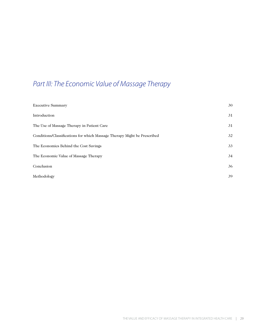## *Part III: The Economic Value of Massage Therapy*

| <b>Executive Summary</b>                                                 | 30 |
|--------------------------------------------------------------------------|----|
| Introduction                                                             | 31 |
| The Use of Massage Therapy in Patient Care                               | 31 |
| Conditions/Classifications for which Massage Therapy Might be Prescribed | 32 |
| The Economics Behind the Cost Savings                                    | 33 |
| The Economic Value of Massage Therapy                                    | 34 |
| Conclusion                                                               | 36 |
| Methodology                                                              | 39 |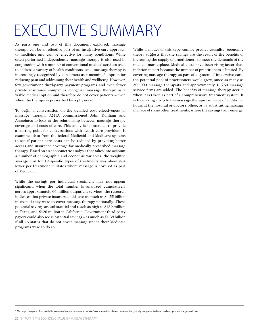## EXECUTIVE SUMMARY

As parts one and two of this document explored, massage therapy can be an effective part of an integrative care approach to medicine and can be effective for many conditions. While often performed independently, massage therapy is also used in conjunction with a number of conventional medical services used to address a variety of health conditions. And, massage therapy is increasingly recognized by consumers as a meaningful option for reducing pain and addressing their health and wellbeing. However, few government third-party payment programs and even fewer private insurance companies recognize massage therapy as a viable medical option and therefore do not cover patients – even when the therapy is prescribed by a physician.<sup>1</sup>

To begin a conversation on the detailed cost effectiveness of massage therapy, AMTA commissioned John Dunham and Associates to look at the relationship between massage therapy coverage and costs of care. This analysis is intended to provide a starting point for conversations with health care providers. It examines data from the federal Medicaid and Medicare systems to see if patient care costs can be reduced by providing better access and insurance coverage for medically prescribed massage therapy. Based on an econometric analysis that takes into account a number of demographic and economic variables, the weighted average cost for 19 specific types of treatments was about \$64 lower per treatment in states where massage is covered as part of Medicaid.

While the savings per individual treatment may not appear significant, when the total number is analyzed cumulatively across approximately 66 million outpatient services, the research indicates that private insurers could save as much as \$4.55 billion in costs if they were to cover massage therapy nationally. These potential savings are substantial and reach as high as \$439 million in Texas, and \$426 million in California. Government third-party payers could also see substantial savings – as much as \$1.39 billion if all 46 states that do not cover massage under their Medicaid programs were to do so.

While a model of this type cannot predict causality, economic theory suggests that the savings are the result of the benefits of increasing the supply of practitioners to meet the demands of the medical marketplace. Medical costs have been rising faster than inflation in part because the number of practitioners is limited. By covering massage therapy as part of a system of integrative care, the potential pool of practitioners would grow, since as many as 300,000 massage therapists and approximately 16,760 massage service firms are added. The benefits of massage therapy accrue when it is taken as part of a comprehensive treatment system. It is by making a trip to the massage therapist in place of additional hours at the hospital or doctor's office, or by substituting massage in place of some other treatments, where the savings truly emerge.

1 Massage therapy is often available in cases of auto insurance and worker's compensation claims; however it is typically not presented as a medical option in the general case.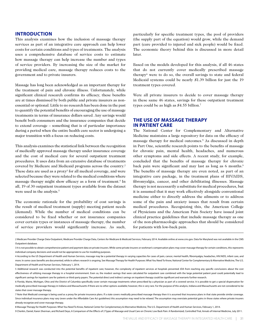#### **Introduction**

This analysis examines how the inclusion of massage therapy services as part of an integrative care approach can help lower costs for certain conditions and types of treatments. The analysis uses a comprehensive database of service costs to estimate how massage therapy can help increase the number and types of service providers. By increasing the size of the market for providing medical care, massage therapy reduces costs to the government and to private insurers.

Massage has long been acknowledged as an important therapy for the treatment of pain and chronic illness. Unfortunately, while significant clinical research confirms its efficacy, these benefits are at times dismissed by both public and private insurers as nonessential or optional. Little to no research has been done in the past to quantify the potential benefits of encouraging the use of massage treatments in terms of insurance dollars saved. Any savings would benefit both consumers and the insurance companies that decide to extend coverage – something that is of particular importance during a period when the entire health care sector is undergoing a major transition with a focus on reducing costs.

This analysis examines the statistical link between the recognition of medically approved massage therapy under insurance coverage and the cost of medical care for several outpatient treatment procedures. It uses data from an extensive database of treatments covered by Medicare and Medicaid programs across the country.2 These data are used as a proxy<sup>3</sup> for all medical coverage, and were selected because they were related to the medical conditions where massage therapy might show efficacy as a form of treatment.<sup>4</sup> In all, 19 of 30 outpatient treatment types available from the dataset were used in the analysis.<sup>5</sup>

The economic rationale for the probability of cost savings is the result of medical treatment (supply) meeting patient needs (demand). While the number of medical conditions can be considered to be fixed whether or not insurance companies cover certain types or instances of massage therapy, the number of service providers would significantly increase. As such, particularly for specific treatment types, the pool of providers (the supply part of the equation) would grow, while the demand part (care provided to injured and sick people) would be fixed. The economic theory behind this is discussed in more detail later.

Based on the models developed for this analysis, if all 46 states that do not currently cover medically prescribed massage therapy6 were to do so, the overall savings to state and federal Medicaid systems could be nearly \$1.39 billion for just the 19 treatment types covered.

Were all private insurers to decide to cover massage therapy in these same 46 states, savings for these outpatient treatment types could be as high as \$4.55 billion.7

## **The Use of Massage Therapy in Patient Care**

The National Center for Complementary and Alternative Medicine maintains a large repository for data on the efficacy of massage therapy for medical outcomes.8 As discussed in depth in Part One, scientific research points to the benefits of massage for chronic pain, mental health, headaches, and numerous other symptoms and side effects. A recent study, for example, concluded that the benefits of massage therapy for chronic back pain were significant and may last as long as 6 months.<sup>9</sup> The benefits of massage therapy are even noted, as part of an integrative care package, in the treatment plans of HIV/AIDS, fibromyalgia, cancer, and other debilitating illnesses. Massage therapy is not necessarily a substitute for medical procedures, but it is assumed that it may work effectively alongside conventional medicine either to directly address the ailments or to address some of the pain and anxiety issues that result from certain medical procedures. Recognizing this, the American College of Physicians and the American Pain Society have issued joint clinical practice guidelines that include massage therapy as one of the non-pharmacologic approaches that should be considered for patients with low-back pain.

2 Medicare Provider Charge Data-Outpatient, Medicare Provider Charge Data, Centers for Medicare & Medicaid Services, February 2014. Available online at www.cms.gov. Data for Maryland was not available in the CMS Outpatient database.

3 It is not possible to obtain comprehensive patient and payment data on private insurers. While some private insurers or workman's compensation plans may cover massage therapy for certain conditions, this represents individual company decisions and would not be appropriate to use for modeling purposes.

4 According to the US Department of Health and Human Services, massage may be a potential therapy in varying capacities for cases of pain, cancer, mental health, fibromyalgia, headaches, HIV/AIDS, infant care, and more. In some cases benefits are documented, while in others research is ongoing. See Massage Therapy for Health Purposes: What You Need To Know, National Center for Complementary & Alternative Medicine, The U.S. Department of Health and Human Services, February 1, 2014.

5 Additional research was conducted into the potential benefits of inpatient care; however, the complexity of inpatient services at hospitals prevented JDA from reaching any specific conclusions about the cost effectiveness of utilizing massage therapy in a hospital environment. Even so, the modest savings that were calculated for outpatient care combined with the large potential patient pool could potentially lead to significant savings for inpatient care for patients or third-party payers. The potential direct and indirect savings on inpatient therapy could be significant and warrants further research.

6 Florida, Maine, Michigan, Ohio and the District of Columbia specifically cover certain massage treatments when prescribed by a physician as part of a covered service. It is possible to get a special dispensation for medically prescribed massage therapy in Indiana and Massachusetts if there are no other options available; however, this is very rare. For the purpose of this analysis, Indiana and Massachusetts are not considered to be states that cover massage therapy.

7 Note that Medicaid coverage is being used as a proxy for private insurance plans. If a state covers medically prescribed massage therapy then it is assumed that insurance plans in that state provide similar coverage. Since individual insurance plans may vary (even under the Affordable Care Act quidelines) this assumption may need to be relaxed. The assumption may overstate potential gains in those states where private insurers already recognize and cover massage therapy.

8 Massage Therapy for Health Purposes: What You Need To Know, National Center for Complementary & Alternative Medicine, The U.S. Department of Health and Human Services, February 1, 2014.

9 Cherkin, Daniel, Karen Sherman, and Richard Deyo, A Comparison of the Effects of 2 Types of Massage and Usual Care on Chronic Low Back Pain: A Randomized, Controlled Trial, Annals of Internal Medicine, July 2011.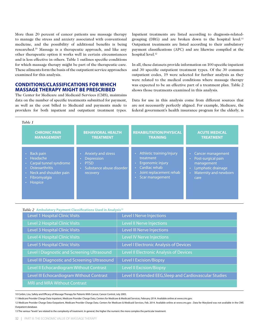More than 20 percent of cancer patients use massage therapy to manage the stress and anxiety associated with conventional medicine, and the possibility of additional benefits is being researched.10 Massage is a therapeutic approach, and like any other therapeutic option it works well in certain circumstances and is less effective in others. Table 1 outlines specific conditions for which massage therapy might be part of the therapeutic care. These ailments form the basis of the outpatient service approaches examined for this analysis.

## **Conditions/Classifications for Which Massage Therapy Might be Prescribed**

The Center for Medicare and Medicaid Services (CMS), maintains data on the number of specific treatments submitted for payment, as well as the cost billed to Medicaid and payments made to providers for both inpatient and outpatient treatment types.

Inpatient treatments are listed according to diagnosis-relatedgrouping (DRG) and are broken down to the hospital level.<sup>11</sup> Outpatient treatments are listed according to their ambulatory payment classifications (APC) and are likewise compiled at the hospital level.<sup>12</sup>

In all, these datasets provide information on 100 specific inpatient and 30 specific outpatient treatment types. Of the 30 common outpatient codes, 19 were selected for further analysis as they were related to the medical conditions where massage therapy was expected to be an effective part of a treatment plan. Table 2 shows those treatments examined in this analysis.

Data for use in this analysis come from different sources that are not necessarily perfectly aligned. For example, Medicare, the federal government's health insurance program for the elderly, is

| <b>CHRONIC PAIN</b>                                                                                                                                                          | <b>BEHAVIORAL HEALTH</b>                                                                       | <b>REHABILITATION/PHYSICAL</b>                                                                                           | <b>ACUTE MEDICAL</b>                                                                                                      |
|------------------------------------------------------------------------------------------------------------------------------------------------------------------------------|------------------------------------------------------------------------------------------------|--------------------------------------------------------------------------------------------------------------------------|---------------------------------------------------------------------------------------------------------------------------|
| <b>MANAGEMENT</b>                                                                                                                                                            | <b>TREATMENT</b>                                                                               | <b>TRAINING</b>                                                                                                          | <b>TREATMENT</b>                                                                                                          |
| Back pain<br>$\bullet$<br>• Headache<br>Carpal tunnel syndrome<br>$\bullet$ .<br><b>Osteoarthritis</b><br>Neck and shoulder pain<br>$\bullet$ .<br>Fibromyalgia<br>• Hospice | <b>Anxiety and stress</b><br>Depression<br><b>PTSD</b><br>Substance abuse disorder<br>recovery | Athletic training/injury<br>treatment<br>Ergonomic injury<br>Cardiac rehab<br>Joint replacement rehab<br>Scar management | Cancer management<br>Post-surgical pain<br>management<br>Lymphatic drainage<br>Maternity and newborn<br>$\bullet$<br>care |

| Table 2 Ambulatory Payment Classifications Used in Analysis <sup>13</sup> |  |  |  |  |
|---------------------------------------------------------------------------|--|--|--|--|
|---------------------------------------------------------------------------|--|--|--|--|

| Level 1 Hospital Clinic Visits                | Level I Nerve Injections                                |
|-----------------------------------------------|---------------------------------------------------------|
| <b>Level 2 Hospital Clinic Visits</b>         | <b>Level II Nerve Injections</b>                        |
| Level 3 Hospital Clinic Visits                | Level III Nerve Injections                              |
| Level 4 Hospital Clinic Visits                | <b>Level IV Nerve Injections</b>                        |
| Level 5 Hospital Clinic Visits                | Level I Electronic Analysis of Devices                  |
| Level I Diagnostic and Screening Ultrasound   | Level II Electronic Analysis of Devices                 |
| Level III Diagnostic and Screening Ultrasound | <b>Level I Excision/Biopsy</b>                          |
| Level II Echocardiogram Without Contrast      | <b>Level II Excision/Biopsy</b>                         |
| Level III Echocardiogram Without Contrast     | Level II Extended EEG, Sleep and Cardiovascular Studies |
| <b>MRI and MRA Without Contrast</b>           |                                                         |

10 Corbin, Lisa, Safety and Efficacy of Massage Therapy for Patients With Cancer, Cancer Control, July 2005.

11 Medicare Provider Charge Data-Inpatient, Medicare Provider Charge Data, Centers for Medicare & Medicaid Services, February 2014. Available online at www.cms.gov.

13 The various "levels" are related to the complexity of treatment. In general, the higher the numeric the more complex the particular treatment.

<sup>12</sup> Medicare Provider Charge Data-Outpatient, Medicare Provider Charge Data. Centers for Medicare & Medicaid Services, Feb. 2014. Available online at www.cms.gov . Data for Maryland was not available in the CMS Outpatient database.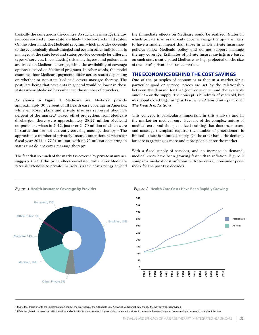basically the same across the country. As such, any massage therapy services covered in one state are likely to be covered in all states. On the other hand, the Medicaid program, which provides coverage to the economically disadvantaged and certain other individuals, is managed at the state level and states provide coverage for different types of services. In conducting this analysis, cost and patient data are based on Medicare coverage, while the availability of coverage options is based on Medicaid programs. In other words, the model examines how Medicare payments differ across states depending on whether or not state Medicaid covers massage therapy. The postulate being that payments in general would be lower in those states where Medicaid has enhanced the number of providers.

As shown in Figure 1, Medicare and Medicaid provide approximately 30 percent of all health care coverage in America, while employer plans and private insurers represent about 54 percent of the market.14 Based off of projections from Medicare discharges, there were approximately 28.27 million Medicaid outpatient services in 2012, just over 24.70 million of which were in states that are not currently covering massage therapy.15 The approximate number of privately insured outpatient services for fiscal year 2011 is 77.21 million, with 66.72 million occurring in states that do not cover massage therapy.

The fact that so much of the market is covered by private insurance suggests that if the price effect correlated with lower Medicare rates is extended to private insurers, sizable cost savings beyond the immediate effects on Medicare could be realized. States in which private insurers already cover massage therapy are likely to have a smaller impact than those in which private insurance policies follow Medicaid policy and do not support massage therapy coverage. Estimates of private insurer savings are based on each state's anticipated Medicare savings projected on the size of the state's private insurance market.

## **The Economics Behind the Cost Savings**

One of the principles of economics is that in a market for a particular good or service, prices are set by the relationship between the demand for that good or service, and the available amount – or the supply. The concept is hundreds of years old, but was popularized beginning in 1776 when Adam Smith published *The Wealth of Nations*.

This concept is particularly important in this analysis and in the market for medical care. Because of the complex nature of medical care, and the specialized training that doctors, nurses, and massage therapists require, the number of practitioners is limited—there is a limited supply. On the other hand, the demand for care is growing as more and more people enter the market.

With a fixed supply of services, and an increase in demand, medical costs have been growing faster than inflation. Figure 2 compares medical cost inflation with the overall consumer price index for the past two decades.



14 Note that this is prior to the implementation of all of the provisions of the Affordable Care Act which will dramatically change the way coverage is provided.

15 Data are given in terms of outpatient services and not patients or consumers. It is possible for the same individual to be counted as receiving a service on multiple occasions throughout the year.

## *Figure 1* **Health Insurance Coverage By Provider**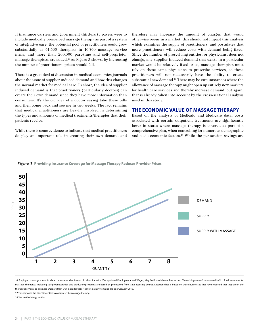If insurance carriers and government third-party payers were to include medically prescribed massage therapy as part of a system of integrative care, the potential pool of practitioners could grow substantially as 61,630 therapists in 16,760 massage service firms, and more than 200,000 part-time and self-proprietor massage therapists, are added.16 As Figure 3 shows, by increasing the number of practitioners, prices should fall.

There is a great deal of discussion in medical economics journals about the issue of supplier induced demand and how this changes the normal market for medical care. In short, the idea of supplier induced demand is that practitioners (particularly doctors) can create their own demand since they have more information than consumers. It's the old idea of a doctor saying take these pills and then come back and see me in two weeks. The fact remains that medical practitioners are heavily involved in determining the types and amounts of medical treatments/therapies that their patients receive.

While there is some evidence to indicate that medical practitioners do play an important role in creating their own demand and

therefore may increase the amount of charges that would otherwise occur in a market, this should not impact this analysis which examines the supply of practitioners, and postulates that more practitioners will reduce costs with demand being fixed. Since the number of prescribing entities, or physicians, does not change, any supplier induced demand that exists in a particular market would be relatively fixed. Also, massage therapists must rely on these same physicians to prescribe services, so these practitioners will not necessarily have the ability to create substantial new demand.17 There may be circumstances where the allowance of massage therapy might open up entirely new markets for health care services and thereby increase demand, but again, that is already taken into account by the cross-sectional analysis used in this study.

## **The Economic Value of Massage Therapy**

Based on the analysis of Medicaid and Medicare data, costs associated with certain outpatient treatments are significantly lower in states where massage therapy is covered as part of a comprehensive plan, when controlling for numerous demographic and socio-economic factors.18 While the per-session savings are





16 Employed massage therapist data comes from the Bureau of Labor Statistics' "Occupational Employment and Wages, May 2012."available online at http://www.bls.gov/oes/current/oes319011. Total estimates for massage therapists, including self-proprietorships and graduating students are based on projections from state licensing boards. Location data is based on those businesses that have reported that they are in the therapeutic massage business. Data are from Dun & Bradstreet's Hoovers data system and are as of January 2013.

17 This removes the direct incentive to overprescribe massage therapy.

18 See methodology section.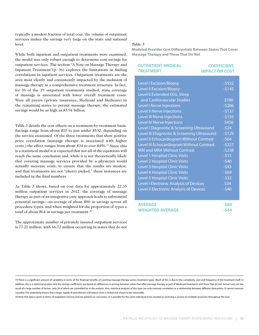typically a modest fraction of total cost, the volume of outpatient services makes the savings very large on the state and national level.

While both inpatient and outpatient treatments were examined, the model was only robust enough to determine cost savings for outpatient services. The section "A Note on Massage Therapy and Inpatient Treatment"(p. 36) explores the limitations in finding correlations in inpatient services. Outpatient treatments are the area most clearly and consistently impacted by the inclusion of massage therapy in a comprehensive treatment structure. In fact, for 16 of the 19 outpatient treatments studied, state coverage of massage is associated with lower overall treatment costs. Were all payers (private insurance, Medicaid and Medicare) in the remaining states to permit massage therapy, the estimated savings would be as high as \$5.94 billion.

Table 3 details the cost effects on a treatment-by-treatment basis. Savings range from about \$15 to just under \$532, depending on the service examined. Of the three treatments that show positive price correlation (massage therapy is associated with higher costs,) the effect ranges from about \$34 to over \$456.19 Since this is a statistical model it is expected that not all of the equations will reach the same conclusion and, while it is not theoretically likely that covering massage services provided by a physician would actually increase costs, to ensure that the results are modest, and that treatments are not "cherry picked," these instances are included in the final numbers.

As Table 3 shows, based on cost data for approximately 22.35 million outpatient services in 2012, the coverage of massage therapy as part of an integrative care approach leads to substantial potential savings—an average of about \$80 in savings across all procedure types, and when weighted for the proportion of types a total of about \$64 in savings per treatment.<sup>20</sup>

The approximate number of privately insured outpatient services is 77.21 million, with 66.72 million occurring in states that do not

#### *Table 3*

**Modeled Provider Cost Differentials Between States That Cover Massage Therapy and Those That Do Not**

| <b>OUTPATIENT MEDICAL</b><br><b>TREATMENT</b> | <b>COEFFICIENT,</b><br><b>IMPACT ON COST</b> |
|-----------------------------------------------|----------------------------------------------|
|                                               |                                              |
| <b>Level I Excision/Biopsy</b>                | $-5532$                                      |
| <b>Level II Excision/Biopsy</b>               | $-5145$                                      |
| Level II Extended EEG, Sleep                  |                                              |
| and Cardiovascular Studies                    | \$166                                        |
| Level I Nerve Injections                      | $-5286$                                      |
| Level II Nerve Injections                     | $-5137$                                      |
| Level III Nerve Injections                    | $-5155$                                      |
| Level IV Nerve Injections                     | \$456                                        |
| Level I Diagnostic & Screening Ultrasound     | $-524$                                       |
| Level III Diagnostic & Screening Ultrasound   | $-5129$                                      |
| Level II Echocardiogram Without Contrast      | $-564$                                       |
| Level III Echocardiogram Without Contrast     | $-5227$                                      |
| <b>MRI and MRA Without Contrast</b>           | $-5238$                                      |
| Level 1 Hospital Clinic Visits                | $-515$                                       |
| Level 2 Hospital Clinic Visits                | $-540$                                       |
| <b>Level 3 Hospital Clinic Visits</b>         | $-543$                                       |
| Level 4 Hospital Clinic Visits                | $-569$                                       |
| Level 5 Hospital Clinic Visits                | $-532$                                       |
| Level I Electronic Analysis of Devices        | \$34                                         |
| Level II Electronic Analysis of Devices       | $-540$                                       |
|                                               |                                              |
| <b>AVERAGE</b>                                | $-580$                                       |

| .                       | ---    |
|-------------------------|--------|
| <b>WEIGHTED AVERAGE</b> | $-564$ |

20 Note that data is given in terms of outpatient services and not patients or consumers. It is possible for the same individual to be counted as receiving a service on multiple occasions throughout the year.

<sup>19</sup> There is a significant amount of variability in terms of the financial benefits of covering massage therapy across treatment types. Much of this is due to the complexity, cost and frequency of the treatment itself. In addition, this is a statistical analysis and the savings coefficients are based on differences in pricing between states that offer massage therapy as part of Medicaid treatments and those that do not. Actual costs are the result of a large number of factors, only 24 of which are controlled for in the analysis. Also, statistical analyses of this type can only measure correlation or a relationship between different data points, It cannot meas causality. The underlying theory that a larger supply of practitioners will reduce costs is tested and shown to be reasonable.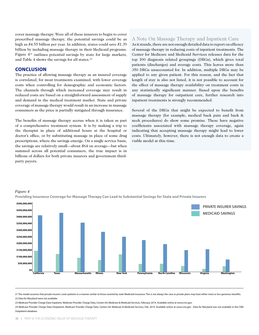cover massage therapy. Were all of these insurers to begin to cover prescribed massage therapy, the potential savings could be as high as \$4.55 billion per year. In addition, states could save \$1.39 billion by including massage therapy in their Medicaid programs. Figure 421 outlines potential savings by state for large markets, and Table 4 shows the savings for all states.<sup>22</sup>

### **Conclusion**

*Figure 4*

The practice of allowing massage therapy as an insured coverage is correlated, for most treatments examined, with lower coverage costs when controlling for demographic and economic factors. The channels through which increased coverage may result in reduced costs are based on a straightforward assessment of supply and demand in the medical treatment market. State and private coverage of massage therapy would result in an increase in massage consumers as the price is partially mitigated through insurance.

The benefits of massage therapy accrue when it is taken as part of a comprehensive treatment system. It is by making a trip to the therapist in place of additional hours at the hospital or doctor's office, or by substituting massage in place of some drug prescriptions, where the savings emerge. On a single service basis, the savings are relatively small—about \$64 on average—but when summed across all potential consumers, the true impact is in billions of dollars for both private insurers and government thirdparty payers.

## A Note On Massage Therapy and Inpatient Care

As it stands, there are not enough detailed data to report on efficacy of massage therapy in reducing costs of inpatient treatments. The Center for Medicare and Medicaid Services releases data for the top 100 diagnosis related groupings (DRGs), which gives total patients (discharges) and average costs. This leaves more than 350 DRGs unaccounted for. In addition, multiple DRGs may be applied to any given patient. For this reason, and the fact that length of stay is also not listed, it is not possible to account for the effect of massage therapy availability on treatment costs in any statistically significant manner. Based upon the benefits of massage therapy for outpatient care, further research into inpatient treatments is strongly recommended.

Several of the DRGs that might be expected to benefit from massage therapy (for example, medical back pain and back & neck procedures) do show some promise. These have negative coefficients associated with massage therapy coverage, again indicating that accepting massage therapy might lead to lower costs. Ultimately, however, there is not enough data to create a viable model at this time.



### **Providing Insurance Coverage for Massage Therapy Can Lead to Substantial Savings for State and Private Insurers**

23 Medicare Provider Charge Data-Inpatient, Medicare Provider Charge Data, Centers for Medicare & Medicaid Services, February 2014. Available online at www.cms.gov.

24 Medicare Provider Charge Data-Outpatient, Medicare Provider Charge Data. Centers for Medicare & Medicaid Services, Feb. 2014. Available online at www.cms.gov . Data for Maryland was not available in the CMS Outpatient database.

<sup>21</sup> The model assumes that private insurers cover patients in a manner similar to those covered by state Medicaid insurance. This is not always the case as private plans may have either more or less generous benefits. 22 Data for Maryland were not available.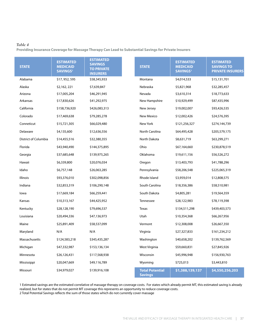### *Table 4*

**Providing Insurance Coverage for Massage Therapy Can Lead to Substantial Savings for Private Insurers**

| <b>STATE</b>         | <b>ESTIMATED</b><br><b>MEDICAID</b><br>SAVINGS <sup>1</sup> | <b>ESTIMATED</b><br><b>SAVINGS</b><br><b>TO PRIVATE</b><br><b>INSURERS</b> | <b>STATE</b>                             | <b>ESTIMATED</b><br><b>MEDICAID</b><br><b>SAVINGS1</b> | <b>ESTIMATED</b><br><b>SAVINGS TO</b><br><b>PRIVATE INSURERS</b> |
|----------------------|-------------------------------------------------------------|----------------------------------------------------------------------------|------------------------------------------|--------------------------------------------------------|------------------------------------------------------------------|
| Alabama              | \$17,952,595                                                | \$58,345,933                                                               | Montana                                  | \$4,014,533                                            | \$15,131,701                                                     |
| Alaska               | \$2,162,221                                                 | \$7,639,847                                                                | Nebraska                                 | \$5,821,968                                            | \$32,285,457                                                     |
| Arizona              | \$17,005,204                                                | \$46,291,945                                                               | Nevada                                   | \$3,610,314                                            | \$18,773,633                                                     |
| Arkansas             | \$17,830,626                                                | \$41,292,975                                                               | New Hampshire                            | \$10,929,499                                           | \$87,435,996                                                     |
| California           | \$158,736,920                                               | \$426,083,313                                                              | New Jersey                               | \$19,002,007                                           | \$93,426,535                                                     |
| Colorado             | \$17,469,638                                                | \$79,285,278                                                               | <b>New Mexico</b>                        | \$12,002,426                                           | \$24,576,395                                                     |
| Conneticut           | \$15,721,305                                                | \$66,029,480                                                               | New York                                 | \$121,256,327                                          | \$274,144,739                                                    |
| Delaware             | \$4,135,600                                                 | \$12,636,556                                                               | <b>North Carolina</b>                    | \$64,495,428                                           | \$205,579,175                                                    |
| District of Columbia | \$14,455,516                                                | \$32,380,355                                                               | North Dakota                             | \$8,631,719                                            | \$63,299,271                                                     |
| Florida              | \$43,940,490                                                | \$144,375,895                                                              | Ohio                                     | \$67,164,660                                           | \$230,878,519                                                    |
| Georgia              | \$37,685,648                                                | \$139,975,265                                                              | Oklahoma                                 | \$19,611,156                                           | \$56,526,272                                                     |
| Hawaii               | \$6,339,800                                                 | \$20,076,034                                                               | Oregon                                   | \$13,403,793                                           | \$41,788,296                                                     |
| Idaho                | \$6,757,148                                                 | \$26,063,285                                                               | Pennsylvania                             | \$58,206,548                                           | \$225,065,319                                                    |
| Illinois             | \$93,376,010                                                | \$302,098,856                                                              | Rhode Island                             | \$3,959,014                                            | \$12,808,575                                                     |
| Indiana              | \$32,853,319                                                | \$106,290,148                                                              | South Carolina                           | \$18,356,386                                           | \$58,510,981                                                     |
| lowa                 | \$17,669,184                                                | \$66,259,441                                                               | South Dakota                             | \$4,805,281                                            | \$19,564,359                                                     |
| Kansas               | \$10,313,167                                                | \$44,425,952                                                               | Tennessee                                | \$28,122,983                                           | \$78,119,398                                                     |
| Kentucky             | \$28,128,190                                                | \$79,696,537                                                               | <b>Texas</b>                             | \$134,511,298                                          | \$439,403,573                                                    |
| Louisiana            | \$20,494,336                                                | \$47,136,973                                                               | Utah                                     | \$10,354,368                                           | \$66,267,956                                                     |
| Maine                | \$25,891,409                                                | \$58,537,099                                                               | Vermont                                  | \$12,308,008                                           | \$26,667,350                                                     |
| Maryland             | N/A                                                         | N/A                                                                        | Virginia                                 | \$27,327,833                                           | \$161,234,212                                                    |
| Massachusetts        | \$124,583,218                                               | \$345,435,287                                                              | Washington                               | \$40,658,202                                           | \$139,762,569                                                    |
| Michigan             | \$47,332,987                                                | \$153,136,134                                                              | West Virginia                            | \$\$9,660,831                                          | \$27,845,926                                                     |
| Minnesota            | \$26,126,431                                                | \$117,568,938                                                              | Wisconsin                                | \$45,996,948                                           | \$156,930,763                                                    |
| Mississippi          | \$20,047,669                                                | \$49,116,789                                                               | Wyoming                                  | \$725,013                                              | \$3,443,810                                                      |
| Missouri             | \$34,979,027                                                | \$139,916,108                                                              | <b>Total Potential</b><br><b>Savings</b> | \$1,388,139,137                                        | \$4,550,256,203                                                  |

1 Estimated savings are the estimated correlative of massage therapy on coverage costs. For states which already permit MT, this estimated saving is already realized, but for states that do not permit MT coverage this represents an opportunity to reduce coverage costs.

2 Total Potential Savings reflects the sum of those states which do not currently cover massage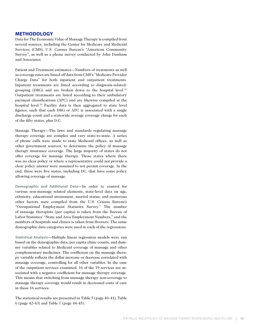## **Methodology**

Data for The Economic Value of Massage Therapy is compiled from several sources, including the Center for Medicare and Medicaid Services (CMS), U.S. Census Bureau's "American Community Survey", as well as a phone survey conducted by John Dunham and Associates.

Patient and Treatment estimates—Numbers of treatments as well as coverage rates are based off data from CMS's "Medicare Provider Charge Data" for both inpatient and outpatient treatments. Inpatient treatments are listed according to diagnosis-relatedgrouping (DRG) and are broken down to the hospital level.23 Outpatient treatments are listed according to their ambulatory payment classifications (APC) and are likewise compiled at the hospital level.<sup>24</sup> Facility data is then aggregated to state level figures, such that each DRG or APC is associated with a single discharge count and a statewide average coverage charge for each of the fifty states, plus D.C.

Massage Therapy—The laws and standards regulating massage therapy coverage are complex and vary state-to-state. A series of phone calls were made to state Medicaid offices, as well as other government sources, to determine the policy of massage therapy insurance coverage. The large majority of states do not offer coverage for massage therapy. Those states where there was no clear policy or where a representative could not provide a clear policy answer were assumed to not permit coverage. In the end, there were five states, including DC, that have some policy allowing coverage of massage.

**Demographic and Additional Data**—In order to control for various non-massage related elements, state-level data on age, ethnicity, educational attainment, marital status, and numerous other factors were compiled from the U.S. Census Bureau's "Occupational Employment Statistics Survey." The number of massage therapists (per capita) is taken from the Bureau of Labor Statistics' "State and Area Employment Numbers," and the numbers of hospitals and clinics is taken from Hoovers. The same demographic data categories were used in each of the regressions.

**Statistical Analysis**—Multiple linear regression models were run based on the demographic data, per capita clinic counts, and dummy variables related to Medicaid coverage of massage and other complementary medicines. The coefficient on the massage therapy variable reflects the dollar increase or decrease correlated with massage coverage, controlling for all other variables. In the case of the outpatient services examined, 16 of the 19 services are associated with a negative coefficient for massage therapy coverage. This means that switching from massage therapy non-coverage to massage therapy coverage would result in decreased costs of care in these 16 services.

The statistical results are presented in Table 5 (page 40-41), Table 6 (page 42-43) and Table 7 (page 44-45).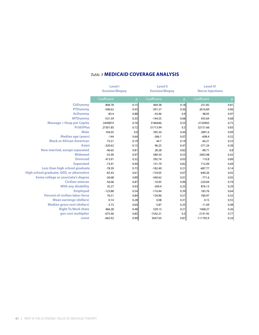|                                           | <b>Level I</b>         |      | <b>Level II</b>        |                | <b>Level IV</b>         |      |
|-------------------------------------------|------------------------|------|------------------------|----------------|-------------------------|------|
|                                           | <b>Excision/Biopsy</b> |      | <b>Excision/Biopsy</b> |                | <b>Nerve Injections</b> |      |
|                                           | Coefficient            | D    | Coefficient            | $\overline{p}$ | Coefficient             |      |
| <b>ChDummy</b>                            | 808.78                 | 0.15 | 469.38                 | 0.18           | 251.85                  | 0.81 |
| <b>PTDummy</b>                            | $-506.62$              | 0.45 | $-391.57$              | 0.36           | 2616.84                 | 0.06 |
| <b>AcDummy</b>                            | $-83.4$                | 0.88 | $-43.46$               | 0.9            | 48.05                   | 0.97 |
| <b>MTDummy</b>                            | $-531.59$              | 0.35 | $-144.55$              | 0.68           | 455.64                  | 0.68 |
| <b>Massage + Hosp per Capita</b>          | 2449874                | 0.76 | 3186446                | 0.53           | -5150903                | 0.75 |
| Pct65Plus                                 | 27301.85               | 0.72 | 31713.94               | 0.5            | 32151.66                | 0.83 |
| <b>Male</b>                               | 104.05                 | 0.9  | 395.34                 | 0.44           | 2891.6                  | 0.09 |
| <b>Median age (years)</b>                 | $-144$                 | 0.64 | $-366.1$               | 0.07           | $-608.4$                | 0.32 |
| <b>Black or African American</b>          | 73.31                  | 0.19 | 44.7                   | 0.19           | 66.21                   | 0.53 |
| <b>Asian</b>                              | $-320.62$              | 0.15 | 96.25                  | 0.47           | $-371.24$               | 0.38 |
| Now married, except separated             | $-46.65$               | 0.81 | 28.28                  | 0.82           | $-98.71$                | 0.8  |
| <b>Widowed</b>                            | $-55.99$               | 0.97 | 589.34                 | 0.53           | 2403.98                 | 0.42 |
| <b>Divorced</b>                           | 413.91                 | 0.32 | 592.74                 | 0.03           | 110.8                   | 0.89 |
| <b>Separated</b>                          | $-73.91$               | 0.94 | 131.79                 | 0.82           | 712.49                  | 0.69 |
| Less than high school graduate            | $-78.39$               | 0.73 | $-182.49$              | 0.21           | $-687.77$               | 0.14 |
| High school graduate, GED, or alternative | $-65.43$               | 0.61 | $-154.05$              | 0.07           | $-640.26$               | 0.02 |
| Some college or associate's degree        | $-26.68$               | 0.89 | $-340.62$              | 0.01           | $-771.6$                | 0.05 |
| <b>Civilian veteran</b>                   | $-56.06$               | 0.87 | $-10.95$               | 0.96           | $-224.04$               | 0.74 |
| <b>With any disability</b>                | 35.27                  | 0.93 | $-304.4$               | 0.25           | 876.13                  | 0.29 |
| <b>Employed</b>                           | $-123.88$              | 0.54 | $-110.44$              | 0.39           | 183.76                  | 0.64 |
| <b>Percent of civilian labor force</b>    | 76.51                  | 0.84 | 134.96                 | 0.57           | 760.97                  | 0.32 |
| <b>Mean earnings (dollars)</b>            | 0.14                   | 0.28 | 0.08                   | 0.31           | 0.15                    | 0.55 |
| <b>Median gross rent (dollars)</b>        | $-3.73$                | 0.64 | $-5.87$                | 0.25           | $-11.09$                | 0.48 |
| <b>Right To Work State</b>                | 466.28                 | 0.48 | 529.13                 | 0.21           | 1468.27                 | 0.26 |
| gov cost multiplier                       | $-675.46$              | 0.85 | $-1542.21$             | 0.5            | $-2141.92$              | 0.77 |
| const                                     | $-665.92$              | 0.99 | 5047.05                | 0.87           | $-111793.9$             | 0.24 |

## *Table 5* **MEDICAID COVERAGE ANALYSIS**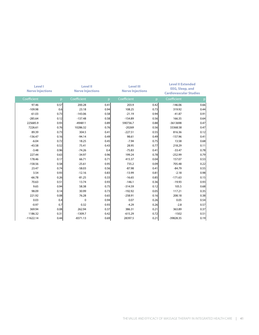| <b>Level I</b><br><b>Nerve Injections</b> |              | <b>Level II</b><br><b>Nerve Injections</b> |              | <b>Level III</b><br><b>Nerve Injections</b> |              | <b>Level II Extended</b><br><b>EEG, Sleep, and</b><br><b>Cardiovascular Studies</b> |      |
|-------------------------------------------|--------------|--------------------------------------------|--------------|---------------------------------------------|--------------|-------------------------------------------------------------------------------------|------|
| Coefficient                               | $\mathsf{p}$ | Coefficient                                | $\mathsf{p}$ | Coefficient                                 | $\mathsf{p}$ | Coefficient                                                                         |      |
| 97.46                                     | 0.57         | 200.28                                     | 0.41         | 203.9                                       | 0.42         | $-146.06$                                                                           | 0.66 |
| $-109.98$                                 | 0.6          | 23.18                                      | 0.94         | 108.25                                      | 0.73         | 319.92                                                                              | 0.44 |
| $-61.03$                                  | 0.73         | $-143.06$                                  | 0.58         | $-21.19$                                    | 0.94         | $-41.87$                                                                            | 0.91 |
| $-285.64$                                 | 0.12         | $-137.48$                                  | 0.58         | $-154.89$                                   | 0.56         | 166.35                                                                              | 0.64 |
| 225685.9                                  | 0.93         | $-494811$                                  | 0.89         | 590736.7                                    | 0.88         | $-3613698$                                                                          | 0.47 |
| 7226.61                                   | 0.76         | 10286.32                                   | 0.76         | $-20269$                                    | 0.56         | 33368.58                                                                            | 0.47 |
| 89.39                                     | 0.73         | 304.5                                      | 0.41         | $-227.51$                                   | 0.55         | 816.36                                                                              | 0.12 |
| $-136.47$                                 | 0.16         | $-94.14$                                   | 0.49         | 98.61                                       | 0.49         | $-157.96$                                                                           | 0.41 |
| $-6.04$                                   | 0.72         | 18.25                                      | 0.45         | $-7.94$                                     | 0.75         | 13.58                                                                               | 0.68 |
| $-43.58$                                  | 0.52         | 75.41                                      | 0.43         | 28.95                                       | 0.77         | 218.29                                                                              | 0.11 |
| $-3.48$                                   | 0.96         | $-74.26$                                   | 0.4          | $-75.83$                                    | 0.41         | $-33.47$                                                                            | 0.78 |
| 227.44                                    | 0.63         | $-34.97$                                   | 0.96         | 199.24                                      | 0.78         | $-252.99$                                                                           | 0.79 |
| 178.46                                    | 0.17         | 66.71                                      | 0.71         | 415.37                                      | 0.04         | 157.07                                                                              | 0.53 |
| $-158.56$                                 | 0.58         | $-25.61$                                   | 0.95         | 735.2                                       | 0.09         | 705.48                                                                              | 0.22 |
| 23.47                                     | 0.74         | $-58.03$                                   | 0.56         | $-87.98$                                    | 0.41         | $-84.79$                                                                            | 0.55 |
| 3.54                                      | 0.93         | $-12.16$                                   | 0.83         | $-13.99$                                    | 0.81         | $-2.18$                                                                             | 0.98 |
| $-66.78$                                  | 0.26         | $-81.25$                                   | 0.33         | $-16.65$                                    | 0.85         | $-171.63$                                                                           | 0.15 |
| 70.63                                     | 0.51         | 13.74                                      | 0.93         | $-146.1$                                    | 0.36         | $-19.93$                                                                            | 0.93 |
| 9.65                                      | 0.94         | 58.38                                      | 0.75         | $-314.59$                                   | 0.12         | 105.5                                                                               | 0.68 |
| 98.09                                     | 0.14         | 30.99                                      | 0.73         | $-192.92$                                   | 0.05         | 117.21                                                                              | 0.35 |
| 221.92                                    | 0.08         | 76.28                                      | 0.65         | $-258.91$                                   | 0.16         | 208.18                                                                              | 0.38 |
| 0.03                                      | 0.4          | $\mathbf{0}$                               | 0.94         | 0.07                                        | 0.26         | 0.05                                                                                | 0.54 |
| $-0.97$                                   | 0.7          | 0.32                                       | 0.93         | $-4.29$                                     | 0.26         | $-2.8$                                                                              | 0.57 |
| 369.94                                    | 0.08         | 262.94                                     | 0.37         | 386.31                                      | 0.21         | 363.89                                                                              | 0.37 |
| 1186.32                                   | 0.31         | $-1309.7$                                  | 0.42         | $-615.29$                                   | 0.72         | $-1502$                                                                             | 0.51 |
| $-11622.14$                               | 0.44         | $-8371.13$                                 | 0.69         | 28397.5                                     | 0.21         | $-39828.35$                                                                         | 0.19 |
|                                           |              |                                            |              |                                             |              |                                                                                     |      |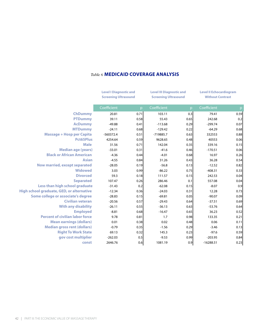|                                                  | <b>Level I Diagnostic and</b><br><b>Screening Ultrasound</b> | <b>Level III Diagnostic and</b><br><b>Screening Ultrasound</b> |             | <b>Level II Echocardiogram</b><br><b>Without Contrast</b> |             |      |
|--------------------------------------------------|--------------------------------------------------------------|----------------------------------------------------------------|-------------|-----------------------------------------------------------|-------------|------|
|                                                  | Coefficient                                                  | D                                                              | Coefficient | $\mathsf{D}$                                              | Coefficient |      |
| <b>ChDummy</b>                                   | 20.81                                                        | 0.71                                                           | 103.11      | 0.3                                                       | 79.41       | 0.59 |
| <b>PTDummy</b>                                   | 39.11                                                        | 0.58                                                           | 55.43       | 0.65                                                      | 242.68      | 0.2  |
| <b>AcDummy</b>                                   | $-49.88$                                                     | 0.41                                                           | $-113.68$   | 0.29                                                      | $-299.74$   | 0.07 |
| <b>MTDummy</b>                                   | $-24.11$                                                     | 0.68                                                           | $-129.42$   | 0.22                                                      | $-64.29$    | 0.68 |
| <b>Massage + Hosp per Capita</b>                 | $-560372.4$                                                  | 0.51                                                           | -719885.7   | 0.63                                                      | 332553      | 0.88 |
| Pct65Plus                                        | 4254.64                                                      | 0.59                                                           | 9628.65     | 0.48                                                      | 40553       | 0.06 |
| <b>Male</b>                                      | 31.56                                                        | 0.71                                                           | 142.04      | 0.35                                                      | 339.16      | 0.15 |
| <b>Median age (years)</b>                        | $-33.01$                                                     | 0.31                                                           | $-41.6$     | 0.46                                                      | $-170.51$   | 0.06 |
| <b>Black or African American</b>                 | $-4.36$                                                      | 0.44                                                           | $-4.01$     | 0.68                                                      | 16.97       | 0.26 |
| <b>Asian</b>                                     | $-4.55$                                                      | 0.84                                                           | 31.26       | 0.43                                                      | 36.28       | 0.54 |
| Now married, except separated                    | $-28.05$                                                     | 0.19                                                           | $-56.8$     | 0.13                                                      | $-12.52$    | 0.82 |
| <b>Widowed</b>                                   | 3.03                                                         | 0.99                                                           | $-86.22$    | 0.75                                                      | $-408.31$   | 0.33 |
| <b>Divorced</b>                                  | 59.3                                                         | 0.18                                                           | 111.57      | 0.15                                                      | 242.53      | 0.04 |
| <b>Separated</b>                                 | 107.47                                                       | 0.26                                                           | 286.46      | 0.1                                                       | 557.08      | 0.04 |
| Less than high school graduate                   | $-31.43$                                                     | 0.2                                                            | $-62.08$    | 0.15                                                      | $-8.07$     | 0.9  |
| <b>High school graduate, GED, or alternative</b> | $-12.34$                                                     | 0.36                                                           | $-24.03$    | 0.31                                                      | 12.28       | 0.73 |
| Some college or associate's degree               | $-28.83$                                                     | 0.15                                                           | $-69.81$    | 0.05                                                      | $-90.07$    | 0.09 |
| <b>Civilian veteran</b>                          | $-20.56$                                                     | 0.57                                                           | $-29.43$    | 0.64                                                      | $-37.51$    | 0.69 |
| <b>With any disability</b>                       | $-26.11$                                                     | 0.55                                                           | $-36.13$    | 0.63                                                      | $-53.76$    | 0.64 |
| <b>Employed</b>                                  | $-8.81$                                                      | 0.68                                                           | $-16.47$    | 0.65                                                      | 36.23       | 0.52 |
| <b>Percent of civilian labor force</b>           | 9.78                                                         | 0.81                                                           | 1.7         | 0.98                                                      | 133.35      | 0.21 |
| <b>Mean earnings (dollars)</b>                   | 0.01                                                         | 0.38                                                           | 0.02        | 0.48                                                      | 0.06        | 0.11 |
| <b>Median gross rent (dollars)</b>               | $-0.79$                                                      | 0.35                                                           | $-1.56$     | 0.29                                                      | $-3.46$     | 0.13 |
| <b>Right To Work State</b>                       | 69.13                                                        | 0.32                                                           | 145.3       | 0.23                                                      | $-97.6$     | 0.59 |
| gov cost multiplier                              | $-262.03$                                                    | 0.5                                                            | $-9.53$     | 0.99                                                      | $-203.95$   | 0.84 |
| const                                            | 2646.76                                                      | 0.6                                                            | 1081.19     | 0.9                                                       | $-16288.51$ | 0.23 |

## *Table 6* **MEDICAID COVERAGE ANALYSIS**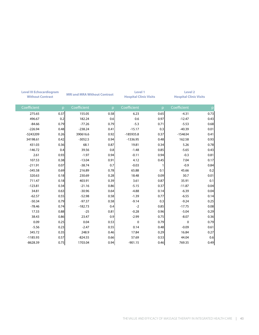| <b>Level III Echocardiogram</b><br><b>Without Contrast</b> |      | <b>MRI and MRA Without Contrast</b> |              | Level 1<br><b>Hospital Clinic Visits</b> |      | <b>Level 2</b><br><b>Hospital Clinic Visits</b> |              |
|------------------------------------------------------------|------|-------------------------------------|--------------|------------------------------------------|------|-------------------------------------------------|--------------|
| Coefficient                                                |      | Coefficient<br>D                    | $\mathsf{p}$ | Coefficient                              | - p  | Coefficient                                     | $\mathsf{p}$ |
| 275.65                                                     | 0.37 | 155.05                              | 0.58         | 6.23                                     | 0.65 | $-4.31$                                         | 0.73         |
| 496.67                                                     | 0.2  | 182.24                              | 0.6          | 0.6                                      | 0.97 | $-12.47$                                        | 0.43         |
| $-84.66$                                                   | 0.79 | $-77.26$                            | 0.79         | $-5.3$                                   | 0.71 | $-5.53$                                         | 0.68         |
| $-226.94$                                                  | 0.48 | $-238.24$                           | 0.41         | $-15.17$                                 | 0.3  | $-40.39$                                        | 0.01         |
| -5243209                                                   | 0.26 | 390616.6                            | 0.92         | $-185935.8$                              | 0.37 | $-154634$                                       |              |
| 34198.61                                                   | 0.42 | $-3052.5$                           | 0.94         | $-1336.95$                               | 0.48 | 162.58                                          |              |
| 431.03                                                     | 0.36 | 68.1                                | 0.87         | 19.81                                    | 0.34 | 5.26                                            |              |
| $-146.72$                                                  | 0.4  | 39.56                               | 0.8          | $-1.48$                                  | 0.85 | $-5.65$                                         |              |
| 2.61                                                       | 0.93 | $-1.97$                             | 0.94         | $-0.11$                                  | 0.94 | $-0.3$                                          |              |
| 107.53                                                     | 0.38 | $-13.04$                            | 0.91         | 4.12                                     | 0.45 | 7.04                                            |              |
| $-211.91$                                                  | 0.07 | $-38.74$                            | 0.7          | $-0.03$                                  |      | $-0.9$                                          |              |
| $-345.58$                                                  | 0.69 | 216.89                              | 0.78         | 65.88                                    | 0.1  | 45.66                                           |              |
| 320.63                                                     | 0.18 | 230.69                              | 0.28         | 18.48                                    | 0.09 | 30.7                                            |              |
| 711.47                                                     | 0.18 | 403.91                              | 0.39         | 3.61                                     | 0.87 | 35.91                                           |              |
| $-123.81$                                                  | 0.34 | $-21.16$                            | 0.86         | $-5.15$                                  | 0.37 | $-11.87$                                        |              |
| 34.81                                                      | 0.63 | $-30.96$                            | 0.64         | $-4.88$                                  | 0.14 | $-6.39$                                         |              |
| $-62.57$                                                   | 0.55 | $-52.98$                            | 0.58         | $-1.39$                                  | 0.77 | $-6.55$                                         |              |
| $-50.34$                                                   | 0.79 | $-97.37$                            | 0.58         | $-9.14$                                  | 0.3  | $-9.24$                                         |              |
| $-78.46$                                                   | 0.74 | $-182.73$                           | 0.4          | $-2$                                     | 0.85 | $-17.75$                                        |              |
| 17.33                                                      | 0.88 | $-25$                               | 0.81         | $-0.28$                                  | 0.96 | $-5.04$                                         |              |
| 38.43                                                      | 0.86 | 23.47                               | 0.9          | $-2.99$                                  | 0.75 | $-8.07$                                         |              |
| 0.09                                                       | 0.25 | 0.04                                | 0.53         | $\mathbf 0$                              | 0.79 | $\overline{\mathbf{0}}$                         |              |
| $-5.56$                                                    | 0.23 | $-2.47$                             | 0.55         | 0.14                                     | 0.48 | $-0.09$                                         |              |
| 345.72                                                     | 0.35 | 248.9                               | 0.46         | 17.84                                    | 0.29 | 16.84                                           |              |
| $-1185.93$                                                 | 0.57 | $-824.55$                           | 0.66         | 57.69                                    | 0.53 | 44.04                                           |              |
|                                                            | 0.75 | 1703.04                             |              | $-901.15$                                | 0.46 | 769.35                                          |              |
| $-8628.39$                                                 |      |                                     | 0.94         |                                          |      |                                                 |              |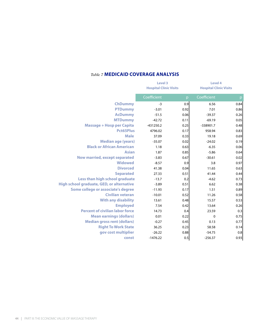## *Table 7* **MEDICAID COVERAGE ANALYSIS**

|                                           | Level 3<br><b>Hospital Clinic Visits</b> |              | Level 4     | <b>Hospital Clinic Visits</b> |  |  |
|-------------------------------------------|------------------------------------------|--------------|-------------|-------------------------------|--|--|
|                                           | Coefficient                              | $\mathsf{D}$ | Coefficient |                               |  |  |
| <b>ChDummy</b>                            | $-3$                                     | 0.9          | 6.56        | 0.84                          |  |  |
| <b>PTDummy</b>                            | $-3.01$                                  | 0.92         | 7.01        | 0.86                          |  |  |
| <b>AcDummy</b>                            | $-51.5$                                  | 0.06         | $-39.37$    | 0.26                          |  |  |
| <b>MTDummy</b>                            | $-42.72$                                 | 0.11         | $-69.19$    | 0.05                          |  |  |
| <b>Massage + Hosp per Capita</b>          | $-431250.2$                              | 0.25         | -338901.7   | 0.48                          |  |  |
| <b>Pct65Plus</b>                          | 4796.02                                  | 0.17         | 958.94      | 0.83                          |  |  |
| <b>Male</b>                               | 37.09                                    | 0.33         | 19.18       | 0.69                          |  |  |
| <b>Median age (years)</b>                 | $-35.07$                                 | 0.02         | $-24.02$    | 0.19                          |  |  |
| <b>Black or African American</b>          | 1.18                                     | 0.63         | $-6.35$     | 0.06                          |  |  |
| <b>Asian</b>                              | 1.87                                     | 0.85         | $-5.86$     | 0.64                          |  |  |
| Now married, except separated             | $-3.83$                                  | 0.67         | $-30.61$    | 0.02                          |  |  |
| <b>Widowed</b>                            | $-8.57$                                  | 0.9          | 3.8         | 0.97                          |  |  |
| <b>Divorced</b>                           | 41.38                                    | 0.04         | 11.65       | 0.63                          |  |  |
| <b>Separated</b>                          | 27.33                                    | 0.51         | 41.44       | 0.44                          |  |  |
| Less than high school graduate            | $-13.7$                                  | 0.2          | $-4.62$     | 0.73                          |  |  |
| High school graduate, GED, or alternative | $-3.89$                                  | 0.51         | 6.62        | 0.38                          |  |  |
| Some college or associate's degree        | $-11.93$                                 | 0.17         | 1.51        | 0.89                          |  |  |
| <b>Civilian veteran</b>                   | $-10.01$                                 | 0.52         | 11.26       | 0.58                          |  |  |
| <b>With any disability</b>                | 13.61                                    | 0.48         | 15.57       | 0.53                          |  |  |
| <b>Employed</b>                           | 7.54                                     | 0.42         | 13.64       | 0.26                          |  |  |
| <b>Percent of civilian labor force</b>    | 14.73                                    | 0.4          | 23.59       | 0.3                           |  |  |
| <b>Mean earnings (dollars)</b>            | 0.01                                     | 0.22         | $\mathbf 0$ | 0.75                          |  |  |
| <b>Median gross rent (dollars)</b>        | $-0.27$                                  | 0.45         | 0.13        | 0.77                          |  |  |
| <b>Right To Work State</b>                | 36.25                                    | 0.23         | 58.58       | 0.14                          |  |  |
| gov cost multiplier                       | $-26.22$                                 | 0.88         | $-54.75$    | 0.8                           |  |  |
| const                                     | $-1476.22$                               | 0.5          | $-256.37$   | 0.93                          |  |  |
|                                           |                                          |              |             |                               |  |  |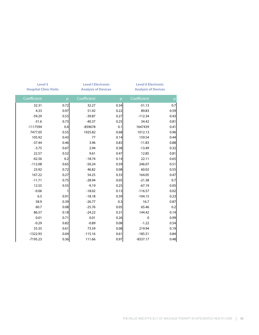| Level 5<br><b>Hospital Clinic Visits</b> |                | <b>Level I Electronic</b><br><b>Analysis of Devices</b> |              | <b>Level II Electronic</b><br><b>Analysis of Devices</b> |      |
|------------------------------------------|----------------|---------------------------------------------------------|--------------|----------------------------------------------------------|------|
| Coefficient                              | p.             | Coefficient                                             | $\mathsf{D}$ | Coefficient                                              | p    |
| 32.31                                    | 0.72           | 32.27                                                   | 0.34         | $-51.13$                                                 | 0.7  |
| 4.33                                     | 0.97           | 51.92                                                   | 0.22         | 89.83                                                    | 0.59 |
| $-59.29$                                 | 0.53           | $-39.87$                                                | 0.27         | $-112.34$                                                | 0.43 |
| $-31.6$                                  | 0.73           | $-40.37$                                                | 0.25         | 34.42                                                    | 0.81 |
| $-1117594$                               | 0.4            | $-859678$                                               | 0.1          | 1647439                                                  | 0.41 |
| 7477.05                                  | 0.55           | 1925.82                                                 | 0.68         | 1012.13                                                  | 0.96 |
| 105.92                                   | 0.43           | 77                                                      | 0.14         | 159.54                                                   | 0.44 |
| $-37.44$                                 | 0.46           | 3.96                                                    | 0.83         | $-11.83$                                                 | 0.88 |
| $-3.75$                                  | 0.67           | 2.94                                                    | 0.38         | $-13.49$                                                 | 0.32 |
| 22.57                                    | 0.52           | 9.61                                                    | 0.47         | 12.85                                                    | 0.81 |
| $-42.56$                                 | 0.2            | $-18.74$                                                | 0.14         | 22.11                                                    | 0.65 |
| $-112.08$                                | 0.65           | $-50.24$                                                | 0.59         | 246.07                                                   | 0.51 |
| 23.92                                    | 0.72           | 46.82                                                   | 0.08         | 60.02                                                    | 0.55 |
| 167.22                                   | 0.27           | 54.25                                                   | 0.33         | 164.05                                                   | 0.47 |
| $-11.71$                                 | 0.75           | $-28.94$                                                | 0.05         | $-21.38$                                                 | 0.7  |
| 12.55                                    | 0.55           | $-9.19$                                                 | 0.25         | $-67.19$                                                 | 0.05 |
| $-0.06$                                  | $\overline{1}$ | $-18.02$                                                | 0.13         | $-116.57$                                                | 0.02 |
| 6.5                                      | 0.91           | $-18.18$                                                | 0.39         | $-104.15$                                                | 0.23 |
| 58.9                                     | 0.39           | $-26.77$                                                | 0.3          | 16.7                                                     | 0.87 |
| 60.7                                     | 0.08           | $-25.76$                                                | 0.05         | 65.46                                                    | 0.2  |
| 86.57                                    | 0.18           | $-24.22$                                                | 0.31         | 144.42                                                   | 0.14 |
| 0.01                                     | 0.71           | 0.01                                                    | 0.26         | $\mathbf 0$                                              | 0.99 |
| $-0.29$                                  | 0.82           | $-0.89$                                                 | 0.08         | $-1.22$                                                  | 0.54 |
| 55.35                                    | 0.61           | 73.59                                                   | 0.08         | 219.94                                                   | 0.19 |
| $-1322.93$                               | 0.04           | $-115.16$                                               | 0.61         | $-185.51$                                                | 0.84 |
|                                          |                |                                                         |              |                                                          | 0.48 |
| $-7195.23$                               | 0.36           | 111.66                                                  | 0.97         | $-8337.17$                                               |      |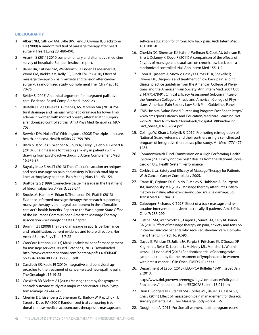#### **BIBLIOGRAPHY**

- 1. Albert NM, Gillinov AM, Lytle BW, Feng J, Cwynar R, Blackstone EH (2009) A randomized trial of massage therapy after heart surgery. Heart Lung 28: 480-490.
- 2. Ananth S (2011) 2010 complementary and alternative medicine survey of hospitals. Samueli Institute report.
- 3. Bauer BA, Cutshall SM, Wentworth LJ, Engen D, Messner PK, Wood CM, Brekke KM, Kelly RF, Sundt TM 3rd (2010) Effect of massage therapy on pain, anxiety and tension after cardiac surgery: a randomized study. Complement Ther Clin Pract 16: 70-75.
- 4. Beider S (2005) An ethical argument for integrated palliative care. Evidence-Based Comp Alt Med. 2:227-231.
- 5. Bertelli DF, de Oliveira P, Gimenes, AS, Moreno MA (2013) Postural drainage and manual lymphatic drainage for lower limb edema in women with morbid obesity after bariatric surgery: a randomized controlled trial. Am J Phys Med Rehabil 92: 697- 703.
- 6. Berwick DM, Nolan TW, Whittington J (2008) The triple aim: care, health, and cost. Health Affairs 27: 759-769.
- 7. Black S, Jacques K, Webber A, Spurr K, Carey E, Hebb A, Gilbert R (2010). Chair massage for treating anxiety in patients withdrawing from psychoactive drugs. J Altern Complement Med 16:979-87.
- 8. Buyukyilmaz F. Asti T (2013) The effect of relaxation techniques and back massage on pain and anxiety in Turkish total hip or knee arthroplasty patients. Pain Manag Nurs 14: 143-154.
- 9. Brattberg G (1999) Connective tissue massage in the treatment of fibromyalgia. Eur J Pain 3: 235-244.
- 10. Brooks M, Hamm M, Erkan B, Thompson DL, Pfaff K (2013) Evidence-informed massage therapy: the research supporting massage therapy is an integral component in the affordable care act's health benefits. Report to the Washington State Office of the Insurance Commissioner. American Massage Therapy Association – Washington State Chapter.
- 11. Brummitt J (2008) The role of massage in sports performance and rehabilitation: current evidence and future direction. Nor Amer J Sports Phys Ther 3:7-22
- 12. CareCore National (2013) Muskuloskeletal benefit management for massage services. Issued October 1, 2013. Downloaded http://www.carecorenational.com/content/pdf/33/3E6B44F-5698B494A8A18EE7B1068853F.pdf
- 13. Cassileth BR, Keefe FJ (2010) Integrative and behavioral approaches to the treatment of cancer-related neuropathic pain. The Oncologist 15:19-23
- 14. Cassileth BR, Vickers AJ (2004) Massage therapy for symptom control: outcome study at a major cancer center. J Pain Symptom Manage 28:244-249
- 15. Cherkin DC, Eisenberg D, Sherman KJ, Barlow W, Kaptchuk TJ, Street J, Deyo RA (2001) Randomized trial comparing traditional chinese medical acupuncture, therapeutic massage, and

self-care education for chronic low back pain. Arch Intern Med. 161:1081-8

- 16. Cherkin DC, Sherman KJ, Kahn J, Wellman R, Cook AJ, Johnson E, Erro J, Delaney K, Deyo R (2011) A comparison of the effects of 2 types of massage and usual care on chronic low back pain: a randomized controlled trial. Ann Intern Med 155: 1-9.
- 17. Chou R, Qaseem A, Snow V, Casey D, Cross JT Jr, Shekelle P, Owens DK; Diagnosis and treatment of low back pain: a joint clinical practice guideline from the American College of Physicians and the American Pain Society. Ann Intern Med. 2007 Oct 2;147(7):478-91. Clinical Efficacy Assessment Subcommittee of the American College of Physicians; American College of Physicians; American Pain Society Low Back Pain Guidelines Panel.
- 18. CMS Hospital Value-Based Purchasing Program Fact Sheet, http:// www.cms.gov/Outreach-and-Education/Medicare-Learning-Network-MLN/MLNProducts/downloads/Hospital\_VBPurchasing\_ Fact\_Sheet\_ICN907664.pdf.
- 19. Collinge W, Khan J, Soltysik R (2012) Promoting reintegration of National Guard veterans and their partners using a self-directed program of integrative therapies: a pilot study. Mil Med 177:1477- 1485.
- 20. Commonwealth Fund Commission on a High Performing Health System (2011) Why not the best? Results from the National Scorecard on U.S. Health System Performance.
- 21. Corbin, Lisa, Safety and Efficacy of Massage Therapy for Patients With Cancer, Cancer Control, July 2005.
- 22. Crane JD, Ogborn DI, Cupido C, Melov S, Hubbard A, Bourgeois JM, Tarnopolsky MA (2012) Massage therapy attenuates inflammatory signaling after exercise-induced muscle damage. Sci Transl Med 4: 119ra13
- 23. Culpepper-Richards K (1998) Effect of a back massage and relaxation intervention on sleep in critically ill patients. Am. J. Crit. Care. 7: 288-299
- 24. Cutshall SM, Wentworth LJ, Engen D, Sundt TM, Kelly RF, Bauer BA (2010) Effect of massage therapy on pain, anxiety and tension in cardiac surgical patients who received standard care. Complement Ther Clin Pract 16: 92-95.
- 25. Dayes IS, Whelan TJ, Julian JA, Parpia S, Pritchard KI, D'Souza DP, Kligman L, Reise D, Leblanc L, McNeely ML, Manchul L, Wiernikowski J, Levine MN (2013) Randomized trial of decongestive lymphatic therapy for the treatment of lymphedema in women with breast cancer. J Clin Oncol PMID:24043733
- 26. Department of Labor (2013). EEOIPCA Bulletin 13-01, issued Jan 2, 2013.

http://www.dol.gov/owcp/energy/regs/compliance/Policyand-Procedures/finalbulletinshtml/EEOICPABulletin13-01.htm

- 27. Dion L, Rodgers N, Cutshall SM, Cordes ME, Bauer B, Cassivi SD, Cha S (2011) Effect of massage on pain management for thoracic surgery patients. Int J Ther Massage Bodywork 4: 1-5
- 28. Doughman A (2011) For Somali women, health program eases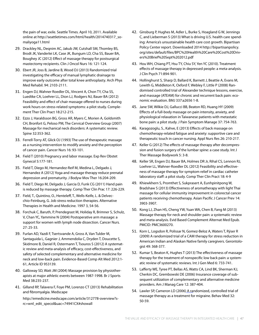the pain of war, exile. Seattle Times. April 10, 2011. Available online at http://seattletimes.com/html/health/2014740317\_somaliyoga11.html

- 29. Drackley NL, Deqnim AC, Jakub JW, Cutshall SM, Thomley BS, Brodt JK, Vanderlei LK, Case JK, Bungum LD, Cha SS, Bauer BA, Boughey JC (2012) Effect of massage therapy for postsurgical mastectomy recipients. Clin J Oncol Nurs 16: 121-124.
- 30. Ebert JR, Joss B, Jardine B, Wood DJ (2013) Randomized trial investigating the efficacy of manual lymphatic drainage to improve early outcome after total knee anthroplasty. Arch Phys Med Rehabil. 94: 2103-2111.
- 31. Engen DJ, Wahner Roedler DL, Vincent A, Chon TY, Cha SS, Luedtke CA, Loehrer LL, Dion LJ, Rodgers NJ, Bauer BA (2012) Feasibility and effect of chair massage offered to nurses during work hours on stress-related symptoms: a pilot study. Complement Ther Clin Pract 18:212-215.
- 32. Ezzo J, Haraldsson BG, Gross AR, Myers C, Morien A, Goldsmith CH, Bronfort G, Peloso PM, The Cervical Overview Group (2007) Massage for mechanical neck disorders: A systematic review. Spine 32:353-362.
- 33. Ferrell-Torry AT, Glick OJ (1993) The use of therapeutic massage as a nursing intervention to modify anxiety and the perception of cancer pain. Cancer Nurs 16: 93-101.
- 34. Field T (2010) Pregnancy and labor massage. Exp Rev Obstet Gynecol 5:177-181.
- 35. Field T, Diego M, Hernandez-Reif M, Medina L, Delgado J, Hernandez A (2012) Yoga and massage therapy reduce prenatal depression and prematurity. J Bodyw Mov Ther 16:204-209.
- 36. Field T, Diego M, Delgado J, Garcia D, Funk CG (2011) Hand pain is reduced by massage therapy. Comp Ther Clin Prac 17: 226-229.
- 37. Field, T., Quintino, O., Henteleff, T., Wells-Keife, L. & Delvecchio-Feinburg, G. Job stress reduction therapies. Alternative Therapies in Health and Medicine. 1997 3, 54-56.
- 38. Forchuk C, Baruth, P, Prendegrast M, Holiday R, Brimner S, Schulz, V, Chan YC, Yammine N (2004) Postoperative arm massage: a support for women with lymph node dissection. Cancer Nurs*.*  27: 25-33.
- 39. Furlan AD, Yazdi F, Tsertsvande A, Gross A, Van Tulder M, Santaguida L, Gagnier J, Ammendolia C, Dryden T, Doucette S, Skidmore B, Daniel R, Ostermann T, Tsouros S (2012) A systematic review and meta-analysis of efficacy, cost-effectiveness, and safety of selected complementary and alternative medicine for neck and low-back pain. Evidence-Based Comp Alt Med 2012:1- 61, Article ID 953139.
- 40. Galloway SD, Watt JM (2004) Massage provision by physiotherapists at major athletic events between 1987-1998. Br J Sports Med 38:235-237.
- 41. Gilland RP, Talavera F, Foye PM, Lorenzo CT (2013) Rehabilitation and fibromyalgia. Medscape

http://emedicine.medscape.com/article/312778-overview?src=wnl\_edit\_specol&uac=74941CX#showall

- 42. Ginsburg P, Hughes M, Adler L, Burke S, Hoagland G W, Jennings C, and Lieberman S (2013) What is driving U.S. health care spending: America's unsustainable health care cost growth. Bipartisan Policy Center report. Downloaded 2014 http://bipartisanpolicy. org/sites/default/files/BPC%20Health%20Care%20Cost%20Drivers%20Brief%20Sept%202012.pdf
- 43. Hou WH, Chiang PT, Hsu TY, Chiu SY, Yen YC (2010). Treatment effects of massage therapy in depressed people: a meta-analysis. J Clin Psych 71:894-901.
- 44. Hollinghurst S, Sharp D, Ballard K, Barnett J, Beattie A, Evans M, Lewith G, Middleton K, Oxford F, Webley F, Little P (2008) Randomised controlled trial of Alexander technique lessons, exercise, and massage (ATEAM) for chronic and recurrent back pain: economic evaluation. BMJ 337:a2656 1-8.
- 45. Jane SW, Wilkie DJ, Gallucci BB, Beaton RD, Huang HY (2009) Effects of a full-body massage on pain intensity, anxiety, and physiological relaxation in Taiwanese patients with metastatic bone pain: a pilot study. J Pain Symptom Manage 37: 754-763.
- 46. Karagozoglu, S., Kahve, E (2013) Effects of back massage on chemotherapy-related fatigue and anxiety: supportive care and therapeutic touch in cancer nursing. Appl Nurs Res 26: 210-217.
- 47. Keller G (2012) The effects of massage therapy after decompression and fusion surgery of the lumbar spine: a case study. Int J Ther Massage Bodywork 5: 3-8.
- 48. Keller SR, Engen DJ, Bauer BA, Holmes DR Jr, Rihal CS, Lennon RJ, Loehrer LL, Wahner-Roedler DL (2012) Feasibility and effectiveness of massage therapy for symptom relief in cardiac catheter laboratory staff: a pilot study. Comp Ther Clin Pract 18: 4-9
- 49. Khiewkhern S, Promthet S, Sukprasert A, Eunhpinitpong W, Bradshaw S (2013) Effectiveness of aromatherapy with light Thai massage for cellular immunity improvement in colorectal cancer patients receiving chemotherapy. Asian Pacific J Cancer Prev 14: 3903-3907.
- 50. Kong LJ, Zhan HS, Cheng YW, Yuan WA, Chen B, Fang M (2013) Massage therapy for neck and shoulder pain: a systematic review and meta-analysis. Evid Based Complement Alternat Med Epub. PMCID: PMC3600270.
- 51. Korn L, Logsdon R, Polissar N, Gomez-Beloz A, Waters T, Rÿser R (2009) A randomized trial of a CAM therapy for stress reduction in American Indian and Alaskan Native family caregivers. Gerontologist 49: 368-377.
- 52. Kumar S, Beaton K, Hughes T (2013) The effectiveness of massage therapy for the treatment of nonspecific low back pain: a systematic review of systematic reviews. Int J Gen Med 6: 733-741.
- 53. Lafferty WE, Tyree PT, Bellas AS, Watts CA, Lind BK, Sherman KJ, Cherkin DC, Grembowski DE (2006) Insurance coverage of subsequent utilization of complementary and alternative medicine providers. Am J Manag Care 12: 387-404.
- 54. Lawler SP, Cameron LD (2006) A randomized, controlled trial of massage therapy as a treatment for migraine. Behav Med 32: 50-59.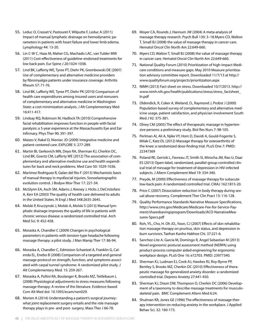- 55. Leduc O, Crasset V, Pastouret F, Wilputte F, Leduc A (2011) Impact of manual lymphatic drainage on hemodynamic parameters in patients with heart failure and lower limb edema. Lymphology 44: 13-20.
- 56. Lin C-W C, Haas M, Maher CG, Machado LAC, van Tulder MW (2011) Cost-effectiveness of guideline-endorsed treatments for low back pain. Eur Spine J 20:1024-1038.
- 57. Lind BK, Lafferty WE, Tyree PT, Diehr PK, Grembowski DE (2007) Use of complementary and alternative medicine providers by fibromyalgia patients under insurance coverage. Arthritis Rheum 57: 71-76.
- 58. Lind BK, Lafferty WE, Tyree PT, Diehr PK (2010) Comparison of health care expenditures among insured users and nonusers of complementary and alternative medicine in Washington State: a cost minimization analysis. J Alt Complementary Med 16:411-417.
- 59. Lindsay RQ, Robinson M, Hadlock TA (2010) Comprehensive facial rehabilitation improves function in people with facial paralysis: a 5-year experience at the Massachusetts Eye and Ear Infirmary. Phys Ther 90: 391-397.
- 60. Maizes V, Rakel D, Nieniec JD (2009) Integrative medicine and patient-centered care. EXPLORE 5: 277-289.
- 61. Martin BI, Gerkovich MN, Deyo RA, Sherman KJ, Cherkin DC, Lind BK, Goertz CM, Lafferty WE (2012) The association of complementary and alternative medicine use and health expenditures for back and neck problems. Med Care 50: 1029-1036.
- 62. Martinez Rodriguez R, Galan del Rio F (2013) Mechanistic basis of manual therapy in myofascial injuries. Sonoelastographic evolution control. J Bodyw Mov Ther 17: 221-34.
- 63. McGlynn EA, Asch SM, Adams J, Keesey J, Hicks J, DeCristofaro A, Kerr EA (2003) The quality of health care delivered to adults in the United States. N Engl J Med 348:2635-2645.
- 64. Molski P, Kruczynski J, Molski A, Molski S (2013) Manual lymphatic drainage improves the quality of life in patients with chronic venous disease: a randomized controlled trial. Arch Med Sci*.* 9: 452-458.
- 65. Moraska A, Chandler C (2009) Changes in psychological parameters in patients with tension-type headache following massage therapy: a pilot study. J Man Manip Ther 17: 86-94.
- 66. Moraska A, Chandler C, Edmiston-Schaetzel A, Franklin G, Calenda EL, Enebo B (2008) Comparison of a targeted and general massage protocol on strength, function, and symptoms associated with carpal tunnel syndrome: A randomized pilot study. J Alt Complementary Med. 15: 259-267.
- 67. Moraska A, Pollini RA, Boulanger K, Brooks MZ, Teitlebaum L (2008) Physiological adjustments to stress measures following massage therapy: A review of the literature. Evidence-based Com Alt Med doi: 10.1093/ecam/nen029.
- 68. Morien A (2014) Understanding a patient's surgical journey: what joint replacement surgery entails and the role massage therapy plays in pre- and post- surgery. Mass Ther J 66-78.
- 69. Moyer CA, Rounds J, Hannum JW (2004) A meta-analysis of massage therapy research. Psych Bull 130: 3–18.Myers CD, Walton T, Small BJ (2008) the value of massage therapy in cancer care. Hematol Oncol Clin North Am 22:649-660.
- 70. Myers CD, Walton T, Small BJ (2008) the value of massage therapy in cancer care. Hematol Oncol Clin North Am 22:649-660.
- 71. National Quality Forum (2010) Prioritization of high-impact Medicare conditions and measure gaps. May 2010 Measure prioritization advisory committee report. Downloaded 11/7/13 at http:// www.qualityforum.org/projects/prioritization.aspx
- 72. NIMH (2013) Fact sheet on stress. Downloaded 10/7/2013. http:// www.nimh.nih.gov/health/publications/stress/stress\_factsheet\_ ln.pdf
- 73. Oldendick, R, Coker A, Wieland, D., Raymond J, Probst J (2000) Population-based survey of complementary and alternative medicine usage, patient satisfaction, and physician involvement South Med J 92: 375-381.
- 74. Olney CM (2005) The effect of therapeutic massage in hypertensive persons: a preliminary study. Biol Res Nurs 7: 98-105.
- 75. Perlman AI, Ali A, Njike VY, Hom D, Davidi A, Gould-Fogerite S, Milak C, Katz DL (2012) Massage therapy for osteoarthritis of the knee: a randomized dose-finding trial. PLoS One 7: PMID: 22347369
- 76. Poland RE, Gertsik L, Favreau JT, Smith SI, Mirocha JM, Rao U, Daar ES (2013) Open-label, randomized, parallel-group controlled clinical trial of message for treatment of depression in HIV-infected subjects. J Altern Complement Med 19: 334-340.
- 77. Preyde, M (2000) Effectiveness of massage therapy for subacute low-back pain: A randomized controlled trial. CMAJ 162:1815-20.
- 78. Price C (2007) Dissociation reduction in body therapy during sexual abuse recovery. Complement Ther Clin Pract 13: 116-128.
- 79. Quality Performance Standards Narrative Measure Specifications, http://www.cms.gov/Medicare/Medicare-Fee-for-Service-Payment/sharedsavingsprogram/Downloads/ACO-NarrativeMeasures-Specs.pdf
- 80. Roh, YS., Cho, H. Oh JO., Yoon, CJ (2007) Effects of skin rehabilitation massage therapy on pruritus, skin status, and depression in burn survivors. Taehan Kanho Hakhoe Chi. 37:221-6.
- 81. Sanchez-Lite A, Garcia M, Domingo R, Angel Sebastian M (2013) Novel ergonomic postural assessment method (NERPA) using product-process computer aided engineering for ergonomic workplace design. PLoS One 16: e72703. PMID: 23977340.
- 82. Sherman KJ, Ludman EJ, Cook AJ, Hawkes RJ, Roy-Byrne PP, Bentley S, Brooks MZ, Cherkin DC (2010) Effectiveness of therapeutic massage for generalized anxiety disorder: a randomized controlled trial. Depress Anxiety 27:441-450.
- 83. Sherman KJ, Dixon DW, Thompson D, Cherkin DC (2006) Development of a taxonomy to describe massage treatments for musculoskeletal pain. BMC Complement Altern Med 6:24.
- 84. Shulman KR, Jones GE (1996) The effectiveness of massage therapy intervention on reducing anxiety in the workplace. J Applied Behav Sci. 32: 160-173.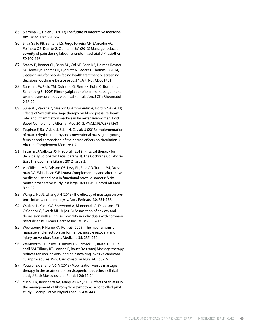- 85. Sierpina VS, Dalen JE (2013) The future of integrative medicine. Am J Med 126: 661-662.
- 86. Silva Gallo RB, Santana LS, Jorge Ferreira CH, Marcolin AC, Polineto OB, Duarte G, Quintana SM (2013) Massage reduced severity of pain during labour: a randomised trial. J Physiother 59:109-116
- 87. Stacey D, Bennet CL, Barry MJ, Col NF, Eden KB, Holmes-Rovner M, Llewellyn-Thomas H, Lyddiatt A, Legare F, Thomas R (2014) Decision aids for people facing health treatment or screening decisions. Cochrane Database Syst 1: Art. No.: CD001431
- 88. Sunshine W, Field TM, Quintino O, Fierro K, Kuhn C, Burman I, Schanberg S (1996) Fibromyalgia benefits from massage therapy and transcutaneous electrical stimulation. J Clin Rheumatol 2:18-22.
- 89. Supa'at I, Zakaria Z, Maskon O. Amminudin A, Nordin NA (2013) Effects of Swedish massage therapy on blood pressure, heart rate, and inflammatory markers in hypertensive women. Evid Based Complement Alternat Med 2013, PMCID:PMC3759268
- 90. Taspinar F, Bas Aslan U, Sabir N, Cavlak U (2013) Implementation of matrix rhythm therapy and conventional massage in young females and comparison of their acute effects on circulation. J Alternat Complement Med 19: 1-7.
- 91. Teixeira LJ, Valbuza JS, Prado GF (2012) Physical therapy for Bell's palsy (idiopathic facial paralysis). The Cochrane Collaboration. The Cochrane Library 2012, Issue 2.
- 92. Van Tilburg MA, Palsson OS, Levy RL, Feld AD, Turner MJ, Drossman DA, Whitehead WE (2008) Complementary and alternative medicine use and cost in functional bowel disorders: A six month prospective study in a large HMO. BMC Compl Alt Med 8:46-52
- 93. Wang L, He JL, Zhang XH (2013) The efficacy of massage on preterm infants: a meta-analysis. Am J Perinatol 30: 731-738.
- 94. Watkins L, Koch GG, Sherwood A, Blumental JA, Davidson JRT, O'Connor C, Sketch MH Jr (2013) Association of anxiety and depression with all-cause mortality in individuals with coronary heart disease. J Amer Heart Assoc PMID: 23537805
- 95. Weerapong P, Hume PA, Kolt GS (2005). The mechanisms of massage and effects on performance, muscle recovery and injury prevention. Sports Medicine 35: 235–256.
- 96. Wentworth LJ, Brisee LJ, Timimi FK, Sanvick CL, Bartel DC, Cutshall SM, Tilbury RT, Lennon R, Bauer BA (2009) Massage therapy reduces tension, anxiety, and pain awaiting invasive cardiovascular procedures. Prog Cardiovascular Nurs 24: 155-161.
- 97. Youssef EF, Shanb A-S A (2013) Mobilization versus massage therapy in the treatment of cervicogenic headache: a clinical study J Back Musculoskelet Rehabil 26: 17-24.
- 98. Yuan SLK, Bersanetti AA, Marques AP (2013) Effects of shiatsu in the management of fibromyalgia symptoms: a controlled pilot study. J Manipulative Physiol Ther 36: 436-443.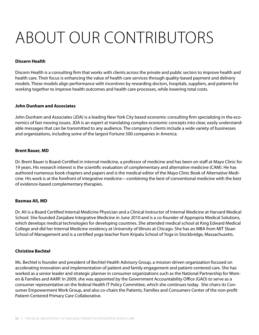# About our Contributors

## **Discern Health**

Discern Health is a consulting firm that works with clients across the private and public sectors to improve health and health care. Their focus is enhancing the value of health care services through quality-based payment and delivery models. These models align performance with incentives by rewarding doctors, hospitals, suppliers, and patients for working together to improve health outcomes and health care processes, while lowering total costs.

## **John Dunham and Associates**

John Dunham and Associates (JDA) is a leading New York City based economic consulting firm specializing in the economics of fast moving issues. JDA is an expert at translating complex economic concepts into clear, easily understandable messages that can be transmitted to any audience. The company's clients include a wide variety of businesses and organizations, including some of the largest Fortune 500 companies in America.

## **Brent Bauer, MD**

Dr. Brent Bauer is Board-Certified in internal medicine, a professor of medicine and has been on staff at Mayo Clinic for 19 years. His research interest is the scientific evaluation of complementary and alternative medicine (CAM). He has authored numerous book chapters and papers and is the medical editor of the Mayo Clinic Book of Alternative Medicine. His work is at the forefront of integrative medicine—combining the best of conventional medicine with the best of evidence-based complementary therapies.

## **Basmaa Ali, MD**

Dr. Ali is a Board Certified Internal Medicine Physician and a Clinical Instructor of Internal Medicine at Harvard Medical School. She founded Zanjabee Integrative Medicine in June 2010 and is a co-founder of Appropria Medical Solutions, which develops medical technologies for developing countries. She attended medical school at King Edward Medical College and did her Internal Medicine residency at University of Illinois at Chicago. She has an MBA from MIT Sloan School of Management and is a certified yoga teacher from Kripalu School of Yoga in Stockbridge, Massachusetts.

## **Christine Bechtel**

Ms. Bechtel is founder and president of Bechtel Health Advisory Group, a mission-driven organization focused on accelerating innovation and implementation of patient and family engagement and patient-centered care. She has worked as a senior leader and strategic planner in consumer organizations such as the National Partnership for Women & Families and AARP. In 2009, she was appointed by the Government Accountability Office (GAO) to serve as a consumer representative on the federal Health IT Policy Committee, which she continues today. She chairs its Consumer Empowerment Work Group, and also co-chairs the Patients, Families and Consumers Center of the non-profit Patient-Centered Primary Care Collaborative.